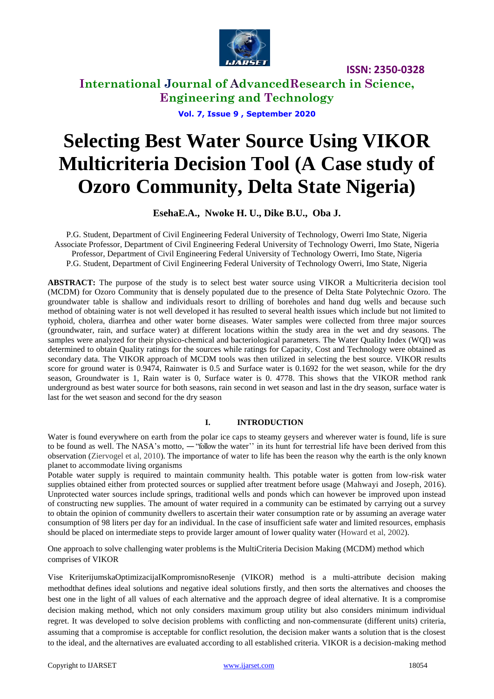

**International Journal of AdvancedResearch in Science, Engineering and Technology**

**Vol. 7, Issue 9 , September 2020**

# **Selecting Best Water Source Using VIKOR Multicriteria Decision Tool (A Case study of Ozoro Community, Delta State Nigeria)**

#### **EsehaE.A., Nwoke H. U., Dike B.U., Oba J.**

P.G. Student, Department of Civil Engineering Federal University of Technology, Owerri Imo State, Nigeria Associate Professor, Department of Civil Engineering Federal University of Technology Owerri, Imo State, Nigeria Professor, Department of Civil Engineering Federal University of Technology Owerri, Imo State, Nigeria P.G. Student, Department of Civil Engineering Federal University of Technology Owerri, Imo State, Nigeria

**ABSTRACT:** The purpose of the study is to select best water source using VIKOR a Multicriteria decision tool (MCDM) for Ozoro Community that is densely populated due to the presence of Delta State Polytechnic Ozoro. The groundwater table is shallow and individuals resort to drilling of boreholes and hand dug wells and because such method of obtaining water is not well developed it has resulted to several health issues which include but not limited to typhoid, cholera, diarrhea and other water borne diseases. Water samples were collected from three major sources (groundwater, rain, and surface water) at different locations within the study area in the wet and dry seasons. The samples were analyzed for their physico-chemical and bacteriological parameters. The Water Quality Index (WQI) was determined to obtain Quality ratings for the sources while ratings for Capacity, Cost and Technology were obtained as secondary data. The VIKOR approach of MCDM tools was then utilized in selecting the best source. VIKOR results score for ground water is 0.9474, Rainwater is 0.5 and Surface water is 0.1692 for the wet season, while for the dry season, Groundwater is 1, Rain water is 0, Surface water is 0. 4778. This shows that the VIKOR method rank underground as best water source for both seasons, rain second in wet season and last in the dry season, surface water is last for the wet season and second for the dry season

#### **I. INTRODUCTION**

Water is found everywhere on earth from the polar ice caps to steamy geysers and wherever water is found, life is sure to be found as well. The NASA's motto, ― "follow the water'' in its hunt for terrestrial life have been derived from this observation (Ziervogel et al, 2010). The importance of water to life has been the reason why the earth is the only known planet to accommodate living organisms

Potable water supply is required to maintain community health. This potable water is gotten from low-risk water supplies obtained either from protected sources or supplied after treatment before usage (Mahwayi and Joseph, 2016). Unprotected water sources include springs, traditional wells and ponds which can however be improved upon instead of constructing new supplies. The amount of water required in a community can be estimated by carrying out a survey to obtain the opinion of community dwellers to ascertain their water consumption rate or by assuming an average water consumption of 98 liters per day for an individual. In the case of insufficient safe water and limited resources, emphasis should be placed on intermediate steps to provide larger amount of lower quality water (Howard et al, 2002).

One approach to solve challenging water problems is the MultiCriteria Decision Making (MCDM) method which comprises of VIKOR

Vise KriterijumskaOptimizacijaIKompromisnoResenje (VIKOR) method is a multi-attribute decision making methodthat defines ideal solutions and negative ideal solutions firstly, and then sorts the alternatives and chooses the best one in the light of all values of each alternative and the approach degree of ideal alternative. It is a compromise decision making method, which not only considers maximum group utility but also considers minimum individual regret. It was developed to solve decision problems with conflicting and non-commensurate (different units) criteria, assuming that a compromise is acceptable for conflict resolution, the decision maker wants a solution that is the closest to the ideal, and the alternatives are evaluated according to all established criteria. VIKOR is a decision-making method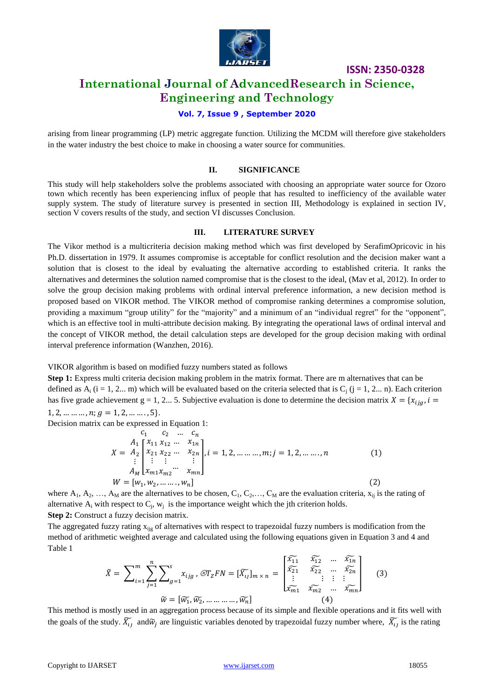

### **International Journal of AdvancedResearch in Science, Engineering and Technology**

#### **Vol. 7, Issue 9 , September 2020**

arising from linear programming (LP) metric aggregate function. Utilizing the MCDM will therefore give stakeholders in the water industry the best choice to make in choosing a water source for communities.

#### **II. SIGNIFICANCE**

This study will help stakeholders solve the problems associated with choosing an appropriate water source for Ozoro town which recently has been experiencing influx of people that has resulted to inefficiency of the available water supply system. The study of literature survey is presented in section III, Methodology is explained in section IV, section V covers results of the study, and section VI discusses Conclusion.

#### **III. LITERATURE SURVEY**

The Vikor method is a multicriteria decision making method which was first developed by SerafimOpricovic in his Ph.D. dissertation in 1979. It assumes compromise is acceptable for conflict resolution and the decision maker want a solution that is closest to the ideal by evaluating the alternative according to established criteria. It ranks the alternatives and determines the solution named compromise that is the closest to the ideal, (Mav et al, 2012). In order to solve the group decision making problems with ordinal interval preference information, a new decision method is proposed based on VIKOR method. The VIKOR method of compromise ranking determines a compromise solution, providing a maximum "group utility" for the "majority" and a minimum of an "individual regret" for the "opponent", which is an effective tool in multi-attribute decision making. By integrating the operational laws of ordinal interval and the concept of VIKOR method, the detail calculation steps are developed for the group decision making with ordinal interval preference information (Wanzhen, 2016).

VIKOR algorithm is based on modified fuzzy numbers stated as follows

**Step 1:** Express multi criteria decision making problem in the matrix format. There are m alternatives that can be defined as  $A_i$  (i = 1, 2... m) which will be evaluated based on the criteria selected that is  $C_i$  (j = 1, 2... n). Each criterion has five grade achievement g = 1, 2... 5. Subjective evaluation is done to determine the decision matrix  $X = \{x_{ijq}, i =$ 1, 2, ... ... ... ,  $n; g = 1, 2, \dots \dots ., 5$ .

Decision matrix can be expressed in Equation 1:

$$
X = A_2 \begin{bmatrix} c_1 & c_2 & \dots & c_n \\ A_1 \begin{bmatrix} x_{11} & x_{12} & \dots & x_{1n} \\ x_{21} & x_{22} & \dots & x_{2n} \\ \vdots & \vdots & \vdots & \vdots \\ A_M \end{bmatrix}, i = 1, 2, \dots \dots \dots, m; j = 1, 2, \dots \dots, n
$$
(1)  

$$
W = [w_1, w_2, \dots \dots, w_n]
$$
(2)

where  $A_1, A_2, ..., A_M$  are the alternatives to be chosen,  $C_1, C_2, ..., C_M$  are the evaluation criteria,  $x_{ij}$  is the rating of alternative  $A_i$  with respect to  $C_j$ ,  $w_j$  is the importance weight which the jth criterion holds. **Step 2:** Construct a fuzzy decision matrix.

The aggregated fuzzy rating  $x_{ijg}$  of alternatives with respect to trapezoidal fuzzy numbers is modification from the method of arithmetic weighted average and calculated using the following equations given in Equation 3 and 4 and Table 1

$$
\tilde{X} = \sum_{i=1}^{m} \sum_{j=1}^{n} \sum_{g=1}^{s} x_{ijg}, \ \mathcal{E}T_{Z}FN = [\widetilde{X}_{ij}]_{m \times n} = \begin{bmatrix} \widetilde{X}_{11} & \widetilde{X}_{12} & \cdots & \widetilde{X}_{1n} \\ \widetilde{X}_{21} & \widetilde{X}_{22} & \cdots & \widetilde{X}_{2n} \\ \vdots & \vdots & \vdots & \vdots \\ \widetilde{X}_{m1} & \widetilde{X}_{m2} & \cdots & \widetilde{X}_{mn} \end{bmatrix}
$$
(3)  

$$
\tilde{W} = [\widetilde{W}_{1}, \widetilde{W}_{2}, \dots \dots \dots \dots, \widetilde{W}_{n}]
$$
(4)

This method is mostly used in an aggregation process because of its simple and flexible operations and it fits well with the goals of the study.  $\widetilde{X_{ij}}$  and  $\widetilde{w}_j$  are linguistic variables denoted by trapezoidal fuzzy number where,  $\widetilde{X_{ij}}$  is the rating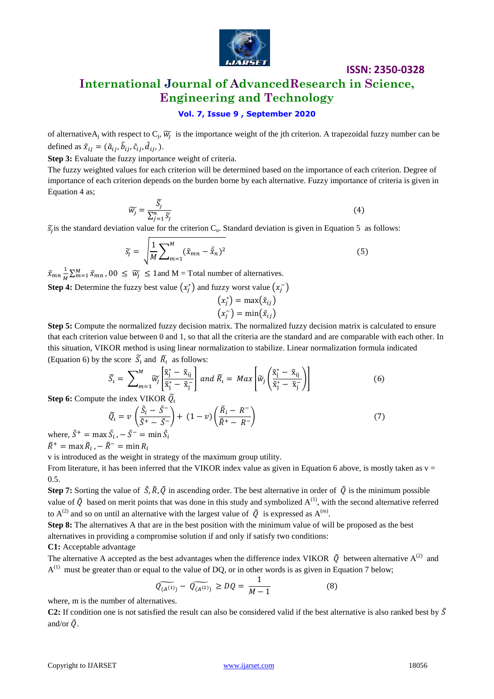

### **International Journal of AdvancedResearch in Science, Engineering and Technology**

#### **Vol. 7, Issue 9 , September 2020**

of alternative A<sub>j</sub> with respect to  $C_j$ ,  $\widetilde{w}_j$  is the importance weight of the jth criterion. A trapezoidal fuzzy number can be defined as  $\tilde{x}_{ij} = (\tilde{a}_{ij}, \tilde{b}_{ij}, \tilde{c}_{ij}, \tilde{d}_{ij})$ .

**Step 3:** Evaluate the fuzzy importance weight of criteria.

The fuzzy weighted values for each criterion will be determined based on the importance of each criterion. Degree of importance of each criterion depends on the burden borne by each alternative. Fuzzy importance of criteria is given in Equation 4 as;

$$
\widetilde{w_j} = \frac{\widetilde{S}_j}{\sum_{j=1}^n \widetilde{S}_j}
$$
\n<sup>(4)</sup>

 $\tilde{s}$  is the standard deviation value for the criterion C<sub>n</sub>. Standard deviation is given in Equation 5 as follows:

$$
\widetilde{s_j} = \sqrt{\frac{1}{M} \sum_{m=1}^{M} (\widetilde{x}_{mn} - \overline{\widetilde{x}}_n)^2}
$$
\n(5)

 $\tilde{x}_{mn} \frac{1}{n}$  $\frac{1}{M} \sum_{m=1}^{M} \tilde{x}_{mn}$ , 00  $\leq \widetilde{W}_j \leq 1$  and M = Total number of alternatives.

**Step 4:** Determine the fuzzy best value  $(x_i^*)$  and fuzzy worst value  $(x_i^-)$ 

$$
(x_j^*) = \max(\tilde{x}_{ij})
$$

$$
(x_j^-) = \min(\tilde{x}_{ij})
$$

**Step 5:** Compute the normalized fuzzy decision matrix. The normalized fuzzy decision matrix is calculated to ensure that each criterion value between 0 and 1, so that all the criteria are the standard and are comparable with each other. In this situation, VIKOR method is using linear normalization to stabilize. Linear normalization formula indicated (Equation 6) by the score  $\tilde{S}_t$  and  $\tilde{R}_t$  as follows:

$$
\widetilde{S}_t = \sum_{m=1}^{M} \widetilde{w}_j \left[ \frac{\widetilde{\mathbf{x}}_j^* - \widetilde{\mathbf{x}}_{ij}}{\widetilde{\mathbf{x}}_j^* - \widetilde{\mathbf{x}}_j} \right] \text{ and } \widetilde{R}_t = \max \left[ \widetilde{w}_j \left( \frac{\widetilde{\mathbf{x}}_j^* - \widetilde{\mathbf{x}}_{ij}}{\widetilde{\mathbf{x}}_j^* - \widetilde{\mathbf{x}}_j} \right) \right]
$$
(6)

**Step 6:** Compute the index VIKOR  $\widetilde{Q}$ 

$$
\widetilde{Q}_i = \nu \left( \frac{\widetilde{S}_i - \widetilde{S}^-}{\widetilde{S}^+ - \widetilde{S}^-} \right) + (1 - \nu) \left( \frac{\widetilde{R}_i - R^-}{\widetilde{R}^+ - R^-} \right) \tag{7}
$$

where,  $\tilde{S}^+$  = max  $\tilde{S}_i$ ,  $-\tilde{S}^-$  = min  $\tilde{S}_i$ 

 $\tilde{R}^+$  = max  $\tilde{R}_i$  ,

v is introduced as the weight in strategy of the maximum group utility.

From literature, it has been inferred that the VIKOR index value as given in Equation 6 above, is mostly taken as  $v =$ 0.5.

**Step 7:** Sorting the value of  $\tilde{S}$ ,  $\tilde{R}$ ,  $\tilde{Q}$  in ascending order. The best alternative in order of  $\tilde{Q}$  is the minimum possible value of  $\tilde{Q}$  based on merit points that was done in this study and symbolized  $A^{(1)}$ , with the second alternative referred to A<sup>(2)</sup> and so on until an alternative with the largest value of  $\tilde{Q}$  is expressed as A<sup>(m)</sup>.

**Step 8:** The alternatives A that are in the best position with the minimum value of will be proposed as the best alternatives in providing a compromise solution if and only if satisfy two conditions:

**C1:** Acceptable advantage

The alternative A accepted as the best advantages when the difference index VIKOR  $\tilde{Q}$  between alternative A<sup>(2)</sup> and  $A^{(1)}$  must be greater than or equal to the value of DQ, or in other words is as given in Equation 7 below;

$$
\widetilde{Q_{(A^{(1)})}} - \widetilde{Q_{(A^{(2)})}} \ge DQ = \frac{1}{M - 1} \tag{8}
$$

where, m is the number of alternatives.

**C2:** If condition one is not satisfied the result can also be considered valid if the best alternative is also ranked best by  $\tilde{S}$ and/or  $\tilde{O}$ .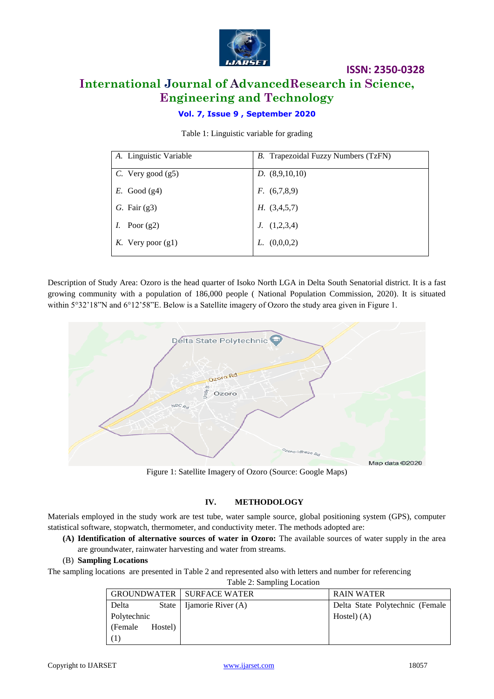

### **ISSN: 2350-0328 International Journal of AdvancedResearch in Science, Engineering and Technology**

#### **Vol. 7, Issue 9 , September 2020**

Table 1: Linguistic variable for grading

| A. Linguistic Variable | <i>B.</i> Trapezoidal Fuzzy Numbers (TzFN) |
|------------------------|--------------------------------------------|
| $C.$ Very good (g5)    | D. (8,9,10,10)                             |
| $E.$ Good (g4)         | F. (6,7,8,9)                               |
| G. Fair $(g3)$         | H. (3,4,5,7)                               |
| Poor $(g2)$            | J. (1,2,3,4)                               |
| K. Very poor $(g1)$    | L. $(0,0,0,2)$                             |

Description of Study Area: Ozoro is the head quarter of Isoko North LGA in Delta South Senatorial district. It is a fast growing community with a population of 186,000 people ( National Population Commission, 2020). It is situated within 5°32'18"N and 6°12'58"E. Below is a Satellite imagery of Ozoro the study area given in Figure 1.



Figure 1: Satellite Imagery of Ozoro (Source: Google Maps)

#### **IV. METHODOLOGY**

Materials employed in the study work are test tube, water sample source, global positioning system (GPS), computer statistical software, stopwatch, thermometer, and conductivity meter. The methods adopted are:

- **(A) Identification of alternative sources of water in Ozoro:** The available sources of water supply in the area are groundwater, rainwater harvesting and water from streams.
- (B) **Sampling Locations**

The sampling locations are presented in Table 2 and represented also with letters and number for referencing

| Table 2: Sampling Location |
|----------------------------|
|----------------------------|

|             |         | GROUNDWATER   SURFACE WATER  | RAIN WATER                      |
|-------------|---------|------------------------------|---------------------------------|
| Delta       |         | State   Ijamorie River $(A)$ | Delta State Polytechnic (Female |
| Polytechnic |         |                              | Hostel $(A)$                    |
| (Female)    | Hostel) |                              |                                 |
| (1)         |         |                              |                                 |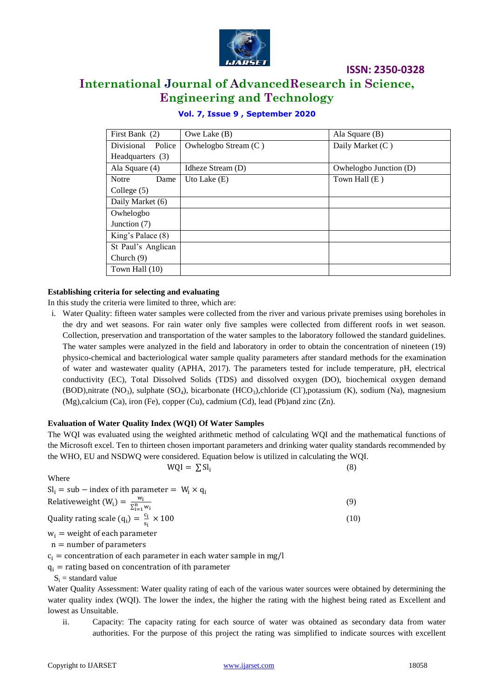

### **International Journal of AdvancedResearch in Science, Engineering and Technology**

| First Bank $(2)$     | Owe Lake $(B)$       | Ala Square $(B)$       |
|----------------------|----------------------|------------------------|
| Divisional<br>Police | Owhelogbo Stream (C) | Daily Market (C)       |
| Headquarters (3)     |                      |                        |
| Ala Square (4)       | Idheze Stream (D)    | Owhelogbo Junction (D) |
| Notre<br>Dame        | Uto Lake $(E)$       | Town Hall (E)          |
| College $(5)$        |                      |                        |
| Daily Market (6)     |                      |                        |
| Owhelogbo            |                      |                        |
| Junction (7)         |                      |                        |
| King's Palace (8)    |                      |                        |
| St Paul's Anglican   |                      |                        |
| Church $(9)$         |                      |                        |
| Town Hall (10)       |                      |                        |

#### **Vol. 7, Issue 9 , September 2020**

#### **Establishing criteria for selecting and evaluating**

In this study the criteria were limited to three, which are:

i. Water Quality: fifteen water samples were collected from the river and various private premises using boreholes in the dry and wet seasons. For rain water only five samples were collected from different roofs in wet season. Collection, preservation and transportation of the water samples to the laboratory followed the standard guidelines. The water samples were analyzed in the field and laboratory in order to obtain the concentration of nineteen (19) physico-chemical and bacteriological water sample quality parameters after standard methods for the examination of water and wastewater quality (APHA, 2017). The parameters tested for include temperature, pH, electrical conductivity (EC), Total Dissolved Solids (TDS) and dissolved oxygen (DO), biochemical oxygen demand (BOD),nitrate (NO<sub>3</sub>), sulphate (SO<sub>4</sub>), bicarbonate (HCO<sub>3</sub>),chloride (Cl<sup>-</sup>),potassium (K), sodium (Na), magnesium (Mg),calcium (Ca), iron (Fe), copper (Cu), cadmium (Cd), lead (Pb)and zinc (Zn).

#### **Evaluation of Water Quality Index (WQI) Of Water Samples**

The WQI was evaluated using the weighted arithmetic method of calculating WQI and the mathematical functions of the Microsoft excel. Ten to thirteen chosen important parameters and drinking water quality standards recommended by the WHO, EU and NSDWQ were considered. Equation below is utilized in calculating the WQI.

Where

| $SI_i = sub - index of ith parameter = W_i \times q_i$        |      |
|---------------------------------------------------------------|------|
| Relativeweight $(W_i) = \frac{w_i}{\sum_{i=1}^{n} w_i}$       | (9)  |
| Quality rating scale ( $q_i$ ) = $\frac{c_i}{s_i} \times 100$ | (10) |
| $w_i$ = weight of each parameter                              |      |
| $n =$ number of parameters                                    |      |

 $WQI = \sum SI_i$ 

 $c_i$  = concentration of each parameter in each water sample in mg/l

 $q_i$  = rating based on concentration of ith parameter

 $S_i$  = standard value

Water Quality Assessment: Water quality rating of each of the various water sources were obtained by determining the water quality index (WQI). The lower the index, the higher the rating with the highest being rated as Excellent and lowest as Unsuitable.

ii. Capacity: The capacity rating for each source of water was obtained as secondary data from water authorities. For the purpose of this project the rating was simplified to indicate sources with excellent

(8)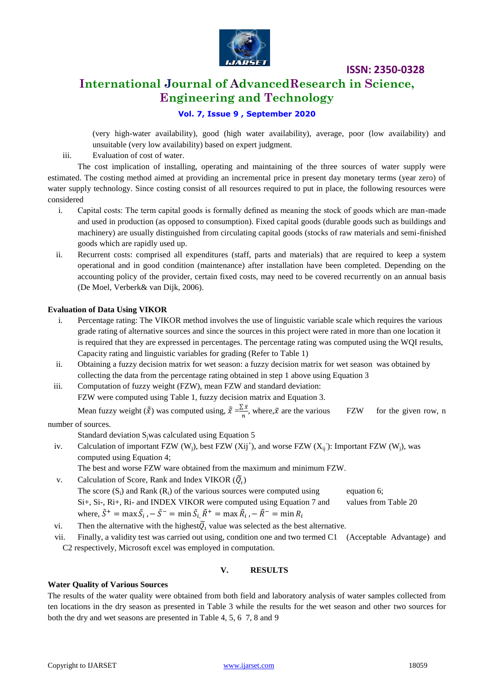

### **International Journal of AdvancedResearch in Science, Engineering and Technology**

#### **Vol. 7, Issue 9 , September 2020**

(very high-water availability), good (high water availability), average, poor (low availability) and unsuitable (very low availability) based on expert judgment.

iii. Evaluation of cost of water.

The cost implication of installing, operating and maintaining of the three sources of water supply were estimated. The costing method aimed at providing an incremental price in present day monetary terms (year zero) of water supply technology. Since costing consist of all resources required to put in place, the following resources were considered

- i. Capital costs: The term capital goods is formally defined as meaning the stock of goods which are man-made and used in production (as opposed to consumption). Fixed capital goods (durable goods such as buildings and machinery) are usually distinguished from circulating capital goods (stocks of raw materials and semi-finished goods which are rapidly used up.
- ii. Recurrent costs: comprised all expenditures (staff, parts and materials) that are required to keep a system operational and in good condition (maintenance) after installation have been completed. Depending on the accounting policy of the provider, certain fixed costs, may need to be covered recurrently on an annual basis (De Moel, Verberk& van Dijk, 2006).

#### **Evaluation of Data Using VIKOR**

- i. Percentage rating: The VIKOR method involves the use of linguistic variable scale which requires the various grade rating of alternative sources and since the sources in this project were rated in more than one location it is required that they are expressed in percentages. The percentage rating was computed using the WQI results, Capacity rating and linguistic variables for grading (Refer to Table 1)
- ii. Obtaining a fuzzy decision matrix for wet season: a fuzzy decision matrix for wet season was obtained by collecting the data from the percentage rating obtained in step 1 above using Equation 3
- iii. Computation of fuzzy weight (FZW), mean FZW and standard deviation: FZW were computed using Table 1, fuzzy decision matrix and Equation 3.

Mean fuzzy weight  $(\bar{\bar{x}})$  was computed using,  $\bar{\bar{x}} = \frac{\sum_{i=1}^{n} x_i}{\sum_{i=1}^{n} x_i}$  $\frac{\partial X}{\partial n}$ , where,  $\tilde{\chi}$  are the various FZW for the given row, n

number of sources.

Standard deviation  $S_i$ was calculated using Equation 5

iv. Calculation of important FZW  $(W_j)$ , best FZW  $(X_{ij}^+)$ , and worse FZW  $(X_{ij}^-)$ : Important FZW  $(W_j)$ , was computed using Equation 4;

The best and worse FZW ware obtained from the maximum and minimum FZW.

- v. Calculation of Score, Rank and Index VIKOR  $(\widetilde{Q}_t)$ The score  $(S_i)$  and Rank  $(R_i)$  of the various sources were computed using equation 6; Si+, Si-, Ri+, Ri- and INDEX VIKOR were computed using Equation 7 and values from Table 20 where,  $\tilde{S}^+$  = max  $\tilde{S}_i$  , -  $\tilde{S}^-$  = min  $\tilde{S}_i$ ,  $\tilde{R}^+$  = max  $\tilde{R}_i$  ,
- vi. Then the alternative with the highest  $\tilde{Q}_i$  value was selected as the best alternative.

vii. Finally, a validity test was carried out using, condition one and two termed C1 (Acceptable Advantage) and C2 respectively, Microsoft excel was employed in computation.

#### **V. RESULTS**

#### **Water Quality of Various Sources**

The results of the water quality were obtained from both field and laboratory analysis of water samples collected from ten locations in the dry season as presented in Table 3 while the results for the wet season and other two sources for both the dry and wet seasons are presented in Table 4, 5, 6 7, 8 and 9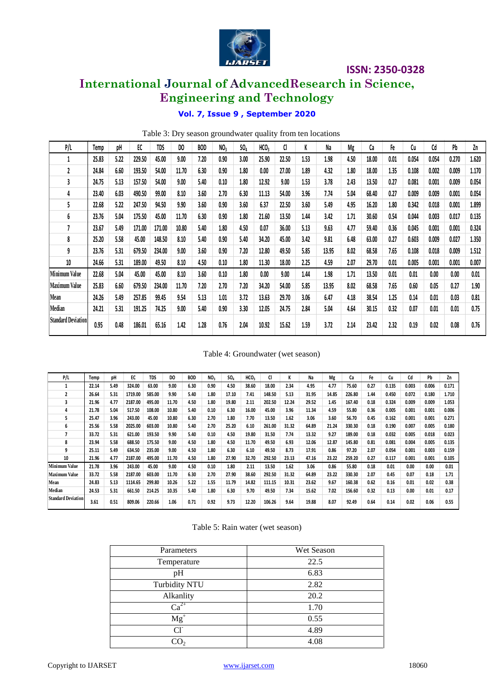

### **International Journal of AdvancedResearch in Science, Engineering and Technology**

#### **Vol. 7, Issue 9 , September 2020**

|                                                                                                                                                                                         |                                                                                                                                            |                                                                                                                            |                                                                                                                                                                |                                                                                                                                                               |                                                                                                                                    |                                                                                                                                    |                                                                                                                                         |                                                                                                                                               |                                                                                                                                                  |                                                                                                                                                   |                                                                                                                                | Vol. 7, Issue 9, September 2020                                                                                                        |                                                                                                                                 |                                                                                                                                                    |                                                                                                                            |                                                                                                                                      |                                                                                                                                      |                                                                                                                                      |                                                                                                                                      |       |
|-----------------------------------------------------------------------------------------------------------------------------------------------------------------------------------------|--------------------------------------------------------------------------------------------------------------------------------------------|----------------------------------------------------------------------------------------------------------------------------|----------------------------------------------------------------------------------------------------------------------------------------------------------------|---------------------------------------------------------------------------------------------------------------------------------------------------------------|------------------------------------------------------------------------------------------------------------------------------------|------------------------------------------------------------------------------------------------------------------------------------|-----------------------------------------------------------------------------------------------------------------------------------------|-----------------------------------------------------------------------------------------------------------------------------------------------|--------------------------------------------------------------------------------------------------------------------------------------------------|---------------------------------------------------------------------------------------------------------------------------------------------------|--------------------------------------------------------------------------------------------------------------------------------|----------------------------------------------------------------------------------------------------------------------------------------|---------------------------------------------------------------------------------------------------------------------------------|----------------------------------------------------------------------------------------------------------------------------------------------------|----------------------------------------------------------------------------------------------------------------------------|--------------------------------------------------------------------------------------------------------------------------------------|--------------------------------------------------------------------------------------------------------------------------------------|--------------------------------------------------------------------------------------------------------------------------------------|--------------------------------------------------------------------------------------------------------------------------------------|-------|
|                                                                                                                                                                                         |                                                                                                                                            |                                                                                                                            |                                                                                                                                                                |                                                                                                                                                               |                                                                                                                                    |                                                                                                                                    |                                                                                                                                         |                                                                                                                                               |                                                                                                                                                  |                                                                                                                                                   |                                                                                                                                |                                                                                                                                        | Table 3: Dry season groundwater quality from ten locations                                                                      |                                                                                                                                                    |                                                                                                                            |                                                                                                                                      |                                                                                                                                      |                                                                                                                                      |                                                                                                                                      |       |
| P/L                                                                                                                                                                                     | Temp                                                                                                                                       | pH                                                                                                                         | EC                                                                                                                                                             | <b>TDS</b>                                                                                                                                                    | DO                                                                                                                                 |                                                                                                                                    | <b>BOD</b>                                                                                                                              | NO <sub>3</sub>                                                                                                                               | SO <sub>4</sub>                                                                                                                                  | HCO <sub>3</sub>                                                                                                                                  | CI                                                                                                                             | K                                                                                                                                      | Na                                                                                                                              | Mg                                                                                                                                                 | Ca                                                                                                                         | Fe                                                                                                                                   | $\mathsf{C}\mathsf{u}$                                                                                                               | $\mathsf{Cd}$                                                                                                                        | Pb                                                                                                                                   | Zn    |
| $\mathbf{1}$                                                                                                                                                                            | 25.83                                                                                                                                      | 5.22                                                                                                                       | 229.50                                                                                                                                                         | 45.00                                                                                                                                                         | 9.00                                                                                                                               |                                                                                                                                    | 7.20                                                                                                                                    | 0.90                                                                                                                                          | 3.00                                                                                                                                             | 25.90                                                                                                                                             | 22.50                                                                                                                          | 1.53                                                                                                                                   | 1.98                                                                                                                            | 4.50                                                                                                                                               | 18.00                                                                                                                      | 0.01                                                                                                                                 | 0.054                                                                                                                                | 0.054                                                                                                                                | 0.270                                                                                                                                | 1.620 |
| 2                                                                                                                                                                                       | 24.84                                                                                                                                      | 6.60                                                                                                                       | 193.50                                                                                                                                                         | 54.00                                                                                                                                                         | 11.70                                                                                                                              |                                                                                                                                    | 6.30                                                                                                                                    | 0.90                                                                                                                                          | 1.80                                                                                                                                             | 0.00                                                                                                                                              | 27.00                                                                                                                          | 1.89                                                                                                                                   | 4.32                                                                                                                            | 1.80                                                                                                                                               | 18.00                                                                                                                      | 1.35                                                                                                                                 | 0.108                                                                                                                                | 0.002                                                                                                                                | 0.009                                                                                                                                | 1.170 |
| 3                                                                                                                                                                                       | 24.75                                                                                                                                      | 5.13                                                                                                                       | 157.50                                                                                                                                                         | 54.00                                                                                                                                                         | 9.00                                                                                                                               |                                                                                                                                    | 5.40                                                                                                                                    | 0.10                                                                                                                                          | 1.80                                                                                                                                             | 12.92                                                                                                                                             | 9.00                                                                                                                           | 1.53                                                                                                                                   | 3.78                                                                                                                            | 2.43                                                                                                                                               | 13.50                                                                                                                      | 0.27                                                                                                                                 | 0.081                                                                                                                                | 0.001                                                                                                                                | 0.009                                                                                                                                | 0.054 |
| 4                                                                                                                                                                                       | 23.40                                                                                                                                      | 6.03                                                                                                                       | 490.50                                                                                                                                                         | 99.00                                                                                                                                                         | 8.10                                                                                                                               |                                                                                                                                    | 3.60                                                                                                                                    | 2.70                                                                                                                                          | 6.30                                                                                                                                             | 11.13                                                                                                                                             | 54.00                                                                                                                          | 3.96                                                                                                                                   | 7.74                                                                                                                            | 5.04                                                                                                                                               | 68.40                                                                                                                      | 0.27                                                                                                                                 | 0.009                                                                                                                                | 0.009                                                                                                                                | 0.001                                                                                                                                | 0.054 |
| 5                                                                                                                                                                                       | 22.68                                                                                                                                      | 5.22                                                                                                                       | 247.50                                                                                                                                                         | 94.50                                                                                                                                                         | 9.90                                                                                                                               |                                                                                                                                    | 3.60                                                                                                                                    | 0.90                                                                                                                                          | 3.60                                                                                                                                             | 6.37                                                                                                                                              | 22.50                                                                                                                          | 3.60                                                                                                                                   | 5.49                                                                                                                            | 4.95                                                                                                                                               | 16.20                                                                                                                      | 1.80                                                                                                                                 | 0.342                                                                                                                                | 0.018                                                                                                                                | 0.001                                                                                                                                | 1.899 |
| 6                                                                                                                                                                                       | 23.76                                                                                                                                      | 5.04                                                                                                                       | 175.50                                                                                                                                                         | 45.00                                                                                                                                                         | 11.70                                                                                                                              |                                                                                                                                    | 6.30                                                                                                                                    | 0.90                                                                                                                                          | 1.80                                                                                                                                             | 21.60                                                                                                                                             | 13.50                                                                                                                          | 1.44                                                                                                                                   | 3.42                                                                                                                            | 1.71                                                                                                                                               | 30.60                                                                                                                      | 0.54                                                                                                                                 | 0.044                                                                                                                                | 0.003                                                                                                                                | 0.017                                                                                                                                | 0.135 |
| 7                                                                                                                                                                                       | 23.67                                                                                                                                      | 5.49                                                                                                                       | 171.00                                                                                                                                                         | 171.00                                                                                                                                                        | 10.80                                                                                                                              |                                                                                                                                    | 5.40                                                                                                                                    | 1.80                                                                                                                                          | 4.50                                                                                                                                             | 0.07                                                                                                                                              | 36.00                                                                                                                          | 5.13                                                                                                                                   | 9.63                                                                                                                            | 4.77                                                                                                                                               | 59.40                                                                                                                      | 0.36                                                                                                                                 | 0.045                                                                                                                                | 0.001                                                                                                                                | 0.001                                                                                                                                | 0.324 |
| 8                                                                                                                                                                                       | 25.20                                                                                                                                      | 5.58                                                                                                                       | 45.00                                                                                                                                                          | 148.50                                                                                                                                                        | 8.10                                                                                                                               |                                                                                                                                    | 5.40                                                                                                                                    | 0.90                                                                                                                                          | 5.40                                                                                                                                             | 34.20                                                                                                                                             | 45.00                                                                                                                          | 3.42                                                                                                                                   | 9.81                                                                                                                            | 6.48                                                                                                                                               | 63.00                                                                                                                      | 0.27                                                                                                                                 | 0.603                                                                                                                                | 0.009                                                                                                                                | 0.027                                                                                                                                | 1.350 |
| 9                                                                                                                                                                                       | 23.76                                                                                                                                      | 5.31                                                                                                                       | 679.50                                                                                                                                                         | 234.00                                                                                                                                                        | 9.00                                                                                                                               |                                                                                                                                    | 3.60                                                                                                                                    | 0.90                                                                                                                                          | 7.20                                                                                                                                             | 12.80                                                                                                                                             | 49.50                                                                                                                          | 5.85                                                                                                                                   | 13.95                                                                                                                           | 8.02                                                                                                                                               | 68.58                                                                                                                      | 7.65                                                                                                                                 | 0.108                                                                                                                                | 0.018                                                                                                                                | 0.009                                                                                                                                | 1.512 |
| 10                                                                                                                                                                                      | 24.66                                                                                                                                      | 5.31                                                                                                                       | 189.00                                                                                                                                                         | 49.50                                                                                                                                                         | 8.10                                                                                                                               |                                                                                                                                    | 4.50                                                                                                                                    | 0.10                                                                                                                                          | 1.80                                                                                                                                             | 11.30                                                                                                                                             | 18.00                                                                                                                          | 2.25                                                                                                                                   | 4.59                                                                                                                            | 2.07                                                                                                                                               | 29.70                                                                                                                      | 0.01                                                                                                                                 | 0.005                                                                                                                                | 0.001                                                                                                                                | 0.001                                                                                                                                | 0.007 |
| <b>Minimum Value</b>                                                                                                                                                                    | 22.68                                                                                                                                      | 5.04                                                                                                                       | 45.00                                                                                                                                                          | 45.00                                                                                                                                                         | 8.10                                                                                                                               |                                                                                                                                    | 3.60                                                                                                                                    | 0.10                                                                                                                                          | 1.80                                                                                                                                             | 0.00                                                                                                                                              | 9.00                                                                                                                           | 1.44                                                                                                                                   | 1.98                                                                                                                            | 1.71                                                                                                                                               | 13.50                                                                                                                      | 0.01                                                                                                                                 | 0.01                                                                                                                                 | 0.00                                                                                                                                 | 0.00                                                                                                                                 | 0.01  |
| <b>Maximum Value</b>                                                                                                                                                                    | 25.83                                                                                                                                      | 6.60                                                                                                                       | 679.50                                                                                                                                                         | 234.00                                                                                                                                                        | 11.70                                                                                                                              |                                                                                                                                    | 7.20                                                                                                                                    | 2.70                                                                                                                                          | 7.20                                                                                                                                             | 34.20                                                                                                                                             | 54.00                                                                                                                          | 5.85                                                                                                                                   | 13.95                                                                                                                           | 8.02                                                                                                                                               | 68.58                                                                                                                      | 7.65                                                                                                                                 | 0.60                                                                                                                                 | 0.05                                                                                                                                 | 0.27                                                                                                                                 | 1.90  |
| Mean                                                                                                                                                                                    |                                                                                                                                            |                                                                                                                            |                                                                                                                                                                |                                                                                                                                                               |                                                                                                                                    |                                                                                                                                    |                                                                                                                                         |                                                                                                                                               |                                                                                                                                                  |                                                                                                                                                   |                                                                                                                                |                                                                                                                                        |                                                                                                                                 |                                                                                                                                                    |                                                                                                                            |                                                                                                                                      |                                                                                                                                      |                                                                                                                                      |                                                                                                                                      |       |
| Median                                                                                                                                                                                  | 24.26                                                                                                                                      | 5.49                                                                                                                       | 257.85                                                                                                                                                         | 99.45                                                                                                                                                         | 9.54                                                                                                                               |                                                                                                                                    | 5.13                                                                                                                                    | 1.01                                                                                                                                          | 3.72                                                                                                                                             | 13.63                                                                                                                                             | 29.70                                                                                                                          | 3.06                                                                                                                                   | 6.47                                                                                                                            | 4.18                                                                                                                                               | 38.54                                                                                                                      | 1.25                                                                                                                                 | 0.14                                                                                                                                 | 0.01                                                                                                                                 | 0.03                                                                                                                                 | 0.81  |
|                                                                                                                                                                                         | 24.21                                                                                                                                      | 5.31                                                                                                                       | 191.25                                                                                                                                                         | 74.25                                                                                                                                                         | 9.00                                                                                                                               |                                                                                                                                    | 5.40                                                                                                                                    | 0.90                                                                                                                                          | 3.30                                                                                                                                             | 12.05                                                                                                                                             | 24.75                                                                                                                          | 2.84                                                                                                                                   | 5.04                                                                                                                            | 4.64                                                                                                                                               | 30.15                                                                                                                      | 0.32                                                                                                                                 | 0.07                                                                                                                                 | 0.01                                                                                                                                 | 0.01                                                                                                                                 | 0.75  |
| <b>Standard Deviation</b>                                                                                                                                                               | 0.95                                                                                                                                       | 0.48                                                                                                                       | 186.01                                                                                                                                                         | 65.16                                                                                                                                                         | 1.42                                                                                                                               |                                                                                                                                    | 1.28                                                                                                                                    | 0.76                                                                                                                                          | 2.04                                                                                                                                             | 10.92                                                                                                                                             | 15.62                                                                                                                          | 1.59                                                                                                                                   | 3.72                                                                                                                            | 2.14                                                                                                                                               | 23.42                                                                                                                      | 2.32                                                                                                                                 | 0.19                                                                                                                                 | 0.02                                                                                                                                 | 0.08                                                                                                                                 | 0.76  |
| P/L<br>$\mathbf 1$<br>$\mathbf{2}$<br>3<br>4<br>5<br>6<br>$\overline{7}$<br>8<br>9<br>10<br><b>Minimum Value</b><br><b>Maximum Value</b><br>Mean<br>Median<br><b>Standard Deviation</b> | Temp<br>22.14<br>26.64<br>21.96<br>21.78<br>25.47<br>25.56<br>33.72<br>23.94<br>25.11<br>21.96<br>21.78<br>33.72<br>24.83<br>24.53<br>3.61 | рH<br>5.49<br>5.31<br>4.77<br>5.04<br>3.96<br>5.58<br>5.31<br>5.58<br>5.49<br>4.77<br>3.96<br>5.58<br>5.13<br>5.31<br>0.51 | EC<br>324.00<br>1719.00<br>2187.00<br>517.50<br>243.00<br>2025.00<br>621.00<br>688.50<br>634.50<br>2187.00<br>243.00<br>2187.00<br>1114.65<br>661.50<br>809.06 | <b>TDS</b><br>63.00<br>585.00<br>495.00<br>108.00<br>45.00<br>603.00<br>193.50<br>175.50<br>235.00<br>495.00<br>45.00<br>603.00<br>299.80<br>214.25<br>220.66 | DO<br>9.00<br>9.90<br>11.70<br>10.80<br>10.80<br>10.80<br>9.90<br>9.00<br>9.00<br>11.70<br>9.00<br>11.70<br>10.26<br>10.35<br>1.06 | <b>BOD</b><br>6.30<br>5.40<br>4.50<br>5.40<br>6.30<br>5.40<br>5.40<br>4.50<br>4.50<br>4.50<br>4.50<br>6.30<br>5.22<br>5.40<br>0.71 | NO <sub>3</sub><br>0.90<br>1.80<br>1.80<br>0.10<br>2.70<br>2.70<br>0.10<br>1.80<br>1.80<br>1.80<br>0.10<br>2.70<br>1.55<br>1.80<br>0.92 | SO <sub>4</sub><br>4.50<br>17.10<br>19.80<br>6.30<br>1.80<br>25.20<br>4.50<br>4.50<br>6.30<br>27.90<br>1.80<br>27.90<br>11.79<br>6.30<br>9.73 | HCO <sub>3</sub><br>38.60<br>7.41<br>2.11<br>16.00<br>7.70<br>6.10<br>19.80<br>11.70<br>6.10<br>32.70<br>2.11<br>38.60<br>14.82<br>9.70<br>12.20 | CI.<br>18.00<br>148.50<br>202.50<br>45.00<br>13.50<br>261.00<br>31.50<br>49.50<br>49.50<br>292.50<br>13.50<br>292.50<br>111.15<br>49.50<br>106.26 | К<br>2.34<br>5.13<br>12.24<br>3.96<br>1.62<br>31.32<br>7.74<br>6.93<br>8.73<br>23.13<br>1.62<br>31.32<br>10.31<br>7.34<br>9.64 | Na<br>4.95<br>31.95<br>29.52<br>11.34<br>3.06<br>64.89<br>13.32<br>12.06<br>17.91<br>47.16<br>3.06<br>64.89<br>23.62<br>15.62<br>19.88 | Mg<br>4.77<br>14.85<br>1.45<br>4.59<br>3.60<br>21.24<br>9.27<br>12.87<br>0.86<br>23.22<br>0.86<br>23.22<br>9.67<br>7.02<br>8.07 | Ca<br>75.60<br>226.80<br>167.40<br>55.80<br>56.70<br>330.30<br>189.00<br>145.80<br>97.20<br>259.20<br>55.80<br>330.30<br>160.38<br>156.60<br>92.49 | Fe<br>0.27<br>1.44<br>0.18<br>0.36<br>0.45<br>0.18<br>0.18<br>0.81<br>2.07<br>0.27<br>0.18<br>2.07<br>0.62<br>0.32<br>0.64 | Cu<br>0.135<br>0.450<br>0.324<br>0.005<br>0.162<br>0.190<br>0.032<br>0.081<br>0.054<br>0.117<br>0.01<br>0.45<br>0.16<br>0.13<br>0.14 | Cd<br>0.003<br>0.072<br>0.009<br>0.001<br>0.001<br>0.007<br>0.005<br>0.004<br>0.001<br>0.001<br>0.00<br>0.07<br>0.01<br>0.00<br>0.02 | Pb<br>0.006<br>0.180<br>0.009<br>0.001<br>0.001<br>0.005<br>0.018<br>0.005<br>0.003<br>0.001<br>0.00<br>0.18<br>0.02<br>0.01<br>0.06 | Zn<br>0.171<br>1.710<br>1.053<br>0.006<br>0.271<br>0.180<br>0.023<br>0.135<br>0.159<br>0.105<br>0.01<br>1.71<br>0.38<br>0.17<br>0.55 |       |
|                                                                                                                                                                                         |                                                                                                                                            |                                                                                                                            |                                                                                                                                                                |                                                                                                                                                               | Parameters<br>pH<br>Alkanlity<br>$Ca^{2+}$<br>$Mg^{+}$                                                                             | Temperature<br><b>Turbidity NTU</b>                                                                                                |                                                                                                                                         |                                                                                                                                               | Table 5: Rain water (wet season)                                                                                                                 |                                                                                                                                                   |                                                                                                                                | Wet Season<br>22.5<br>6.83<br>2.82<br>20.2<br>1.70<br>0.55                                                                             |                                                                                                                                 |                                                                                                                                                    |                                                                                                                            |                                                                                                                                      |                                                                                                                                      |                                                                                                                                      |                                                                                                                                      |       |
|                                                                                                                                                                                         |                                                                                                                                            |                                                                                                                            |                                                                                                                                                                |                                                                                                                                                               | $Cl-$                                                                                                                              |                                                                                                                                    |                                                                                                                                         |                                                                                                                                               |                                                                                                                                                  |                                                                                                                                                   |                                                                                                                                | 4.89                                                                                                                                   |                                                                                                                                 |                                                                                                                                                    |                                                                                                                            |                                                                                                                                      |                                                                                                                                      |                                                                                                                                      |                                                                                                                                      |       |
|                                                                                                                                                                                         |                                                                                                                                            |                                                                                                                            |                                                                                                                                                                |                                                                                                                                                               | CO <sub>2</sub>                                                                                                                    |                                                                                                                                    |                                                                                                                                         |                                                                                                                                               |                                                                                                                                                  |                                                                                                                                                   |                                                                                                                                | 4.08                                                                                                                                   |                                                                                                                                 |                                                                                                                                                    |                                                                                                                            |                                                                                                                                      |                                                                                                                                      |                                                                                                                                      |                                                                                                                                      |       |

Table 4: Groundwater (wet season)

|                           |       |      |         |            |       |            |                 |                 |                  |        |       | Table 4: Groundwater (wet season) |       |        |      |       |       |       |       |
|---------------------------|-------|------|---------|------------|-------|------------|-----------------|-----------------|------------------|--------|-------|-----------------------------------|-------|--------|------|-------|-------|-------|-------|
| P/L                       | Temp  | pH   | EC      | <b>TDS</b> | DO    | <b>BOD</b> | NO <sub>3</sub> | SO <sub>4</sub> | HCO <sub>3</sub> | CI     | К     | Na                                | Mg    | Ca     | Fe   | Cu    | Cd    | Pb    | Zn    |
| 1                         | 22.14 | 5.49 | 324.00  | 63.00      | 9.00  | 6.30       | 0.90            | 4.50            | 38.60            | 18.00  | 2.34  | 4.95                              | 4.77  | 75.60  | 0.27 | 0.135 | 0.003 | 0.006 | 0.171 |
| $\overline{2}$            | 26.64 | 5.31 | 1719.00 | 585.00     | 9.90  | 5.40       | 1.80            | 17.10           | 7.41             | 148.50 | 5.13  | 31.95                             | 14.85 | 226.80 | 1.44 | 0.450 | 0.072 | 0.180 | 1.710 |
| 3                         | 21.96 | 4.77 | 2187.00 | 495.00     | 11.70 | 4.50       | 1.80            | 19.80           | 2.11             | 202.50 | 12.24 | 29.52                             | 1.45  | 167.40 | 0.18 | 0.324 | 0.009 | 0.009 | 1.053 |
| 4                         | 21.78 | 5.04 | 517.50  | 108.00     | 10.80 | 5.40       | 0.10            | 6.30            | 16.00            | 45.00  | 3.96  | 11.34                             | 4.59  | 55.80  | 0.36 | 0.005 | 0.001 | 0.001 | 0.006 |
| 5                         | 25.47 | 3.96 | 243.00  | 45.00      | 10.80 | 6.30       | 2.70            | 1.80            | 7.70             | 13.50  | 1.62  | 3.06                              | 3.60  | 56.70  | 0.45 | 0.162 | 0.001 | 0.001 | 0.271 |
| 6                         | 25.56 | 5.58 | 2025.00 | 603.00     | 10.80 | 5.40       | 2.70            | 25.20           | 6.10             | 261.00 | 31.32 | 64.89                             | 21.24 | 330.30 | 0.18 | 0.190 | 0.007 | 0.005 | 0.180 |
| 7                         | 33.72 | 5.31 | 621.00  | 193.50     | 9.90  | 5.40       | 0.10            | 4.50            | 19.80            | 31.50  | 7.74  | 13.32                             | 9.27  | 189.00 | 0.18 | 0.032 | 0.005 | 0.018 | 0.023 |
| 8                         | 23.94 | 5.58 | 688.50  | 175.50     | 9.00  | 4.50       | 1.80            | 4.50            | 11.70            | 49.50  | 6.93  | 12.06                             | 12.87 | 145.80 | 0.81 | 0.081 | 0.004 | 0.005 | 0.135 |
| q                         | 25.11 | 5.49 | 634.50  | 235.00     | 9.00  | 4.50       | 1.80            | 6.30            | 6.10             | 49.50  | 8.73  | 17.91                             | 0.86  | 97.20  | 2.07 | 0.054 | 0.001 | 0.003 | 0.159 |
| 10                        | 21.96 | 4.77 | 2187.00 | 495.00     | 11.70 | 4.50       | 1.80            | 27.90           | 32.70            | 292.50 | 23.13 | 47.16                             | 23.22 | 259.20 | 0.27 | 0.117 | 0.001 | 0.001 | 0.105 |
| Minimum Value             | 21.78 | 3.96 | 243.00  | 45.00      | 9.00  | 4.50       | 0.10            | 1.80            | 2.11             | 13.50  | 1.62  | 3.06                              | 0.86  | 55.80  | 0.18 | 0.01  | 0.00  | 0.00  | 0.01  |
| <b>Maximum Value</b>      | 33.72 | 5.58 | 2187.00 | 603.00     | 11.70 | 6.30       | 2.70            | 27.90           | 38.60            | 292.50 | 31.32 | 64.89                             | 23.22 | 330.30 | 2.07 | 0.45  | 0.07  | 0.18  | 1.71  |
| Mean                      | 24.83 | 5.13 | 1114.65 | 299.80     | 10.26 | 5.22       | 1.55            | 11.79           | 14.82            | 111.15 | 10.31 | 23.62                             | 9.67  | 160.38 | 0.62 | 0.16  | 0.01  | 0.02  | 0.38  |
| Median                    | 24.53 | 5.31 | 661.50  | 214.25     | 10.35 | 5.40       | 1.80            | 6.30            | 9.70             | 49.50  | 7.34  | 15.62                             | 7.02  | 156.60 | 0.32 | 0.13  | 0.00  | 0.01  | 0.17  |
| <b>Standard Deviation</b> | 3.61  | 0.51 | 809.06  | 220.66     | 1.06  | 0.71       | 0.92            | 9.73            | 12.20            | 106.26 | 9.64  | 19.88                             | 8.07  | 92.49  | 0.64 | 0.14  | 0.02  | 0.06  | 0.55  |

| Table 5: Rain water (wet season) |
|----------------------------------|
|----------------------------------|

| Parameters               | <b>Wet Season</b> |
|--------------------------|-------------------|
| Temperature              | 22.5              |
| pH                       | 6.83              |
| <b>Turbidity NTU</b>     | 2.82              |
| Alkanlity                | 20.2              |
| $Ca^{2+}$                | 1.70              |
| $\overline{\text{Mg}}^+$ | 0.55              |
| $Cl-$                    | 4.89              |
| CO                       | 4.08              |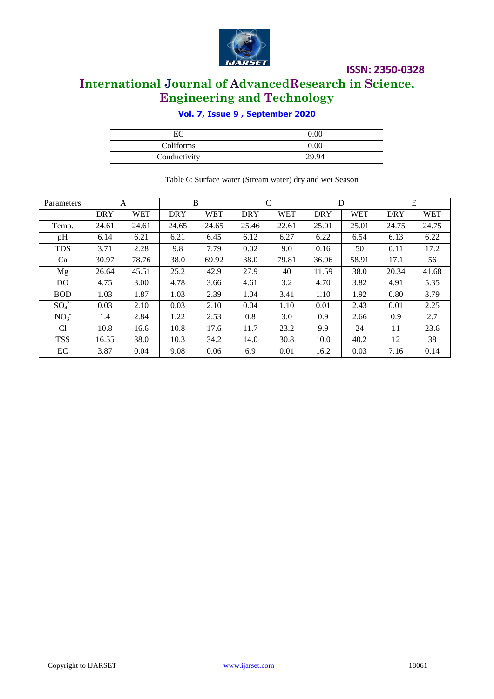

### **International Journal of AdvancedResearch in Science, Engineering and Technology**

#### **Vol. 7, Issue 9 , September 2020**

| EС           | $0.00\,$ |
|--------------|----------|
| Coliforms    | $0.00\,$ |
| Conductivity | 29.94    |

| Parameters      |            | A          |            | B          |            | $\mathsf{C}$ | D          |            | E          |            |  |  |
|-----------------|------------|------------|------------|------------|------------|--------------|------------|------------|------------|------------|--|--|
|                 | <b>DRY</b> | <b>WET</b> | <b>DRY</b> | <b>WET</b> | <b>DRY</b> | <b>WET</b>   | <b>DRY</b> | <b>WET</b> | <b>DRY</b> | <b>WET</b> |  |  |
| Temp.           | 24.61      | 24.61      | 24.65      | 24.65      | 25.46      | 22.61        | 25.01      | 25.01      | 24.75      | 24.75      |  |  |
| pH              | 6.14       | 6.21       | 6.21       | 6.45       | 6.12       | 6.27         | 6.22       | 6.54       | 6.13       | 6.22       |  |  |
| <b>TDS</b>      | 3.71       | 2.28       | 9.8        | 7.79       | 0.02       | 9.0          | 0.16       | 50         | 0.11       | 17.2       |  |  |
| Ca              | 30.97      | 78.76      | 38.0       | 69.92      | 38.0       | 79.81        | 36.96      | 58.91      | 17.1       | 56         |  |  |
| Mg              | 26.64      | 45.51      | 25.2       | 42.9       | 27.9       | 40           | 11.59      | 38.0       | 20.34      | 41.68      |  |  |
| DO.             | 4.75       | 3.00       | 4.78       | 3.66       | 4.61       | 3.2          | 4.70       | 3.82       | 4.91       | 5.35       |  |  |
| <b>BOD</b>      | 1.03       | 1.87       | 1.03       | 2.39       | 1.04       | 3.41         | 1.10       | 1.92       | 0.80       | 3.79       |  |  |
| $SO_4^2$        | 0.03       | 2.10       | 0.03       | 2.10       | 0.04       | 1.10         | 0.01       | 2.43       | 0.01       | 2.25       |  |  |
| NO <sub>3</sub> | 1.4        | 2.84       | 1.22       | 2.53       | 0.8        | 3.0          | 0.9        | 2.66       | 0.9        | 2.7        |  |  |
| Cl              | 10.8       | 16.6       | 10.8       | 17.6       | 11.7       | 23.2         | 9.9        | 24         | 11         | 23.6       |  |  |
| <b>TSS</b>      | 16.55      | 38.0       | 10.3       | 34.2       | 14.0       | 30.8         | 10.0       | 40.2       | 12         | 38         |  |  |
| EC              | 3.87       | 0.04       | 9.08       | 0.06       | 6.9        | 0.01         | 16.2       | 0.03       | 7.16       | 0.14       |  |  |

#### Table 6: Surface water (Stream water) dry and wet Season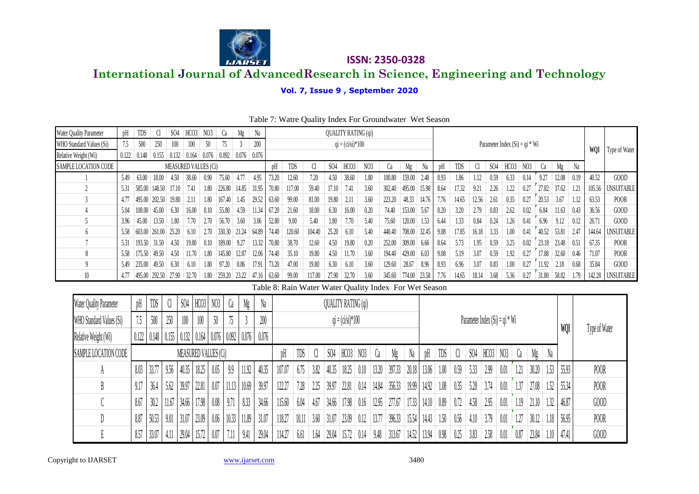

|                          |                                                                                                                            |        |                              |            |                      |       |                           |                       | <b>IJARSET</b> |                |                |                |                                                        |                 |                            |                 |       | <b>ISSN: 2350-0328</b> |                 |                    |              |               |                                   |                                  |                 |                 |       |                        |       |              |                 |                    |
|--------------------------|----------------------------------------------------------------------------------------------------------------------------|--------|------------------------------|------------|----------------------|-------|---------------------------|-----------------------|----------------|----------------|----------------|----------------|--------------------------------------------------------|-----------------|----------------------------|-----------------|-------|------------------------|-----------------|--------------------|--------------|---------------|-----------------------------------|----------------------------------|-----------------|-----------------|-------|------------------------|-------|--------------|-----------------|--------------------|
|                          | <b>International Journal of AdvancedResearch in Science, Engineering and Technology</b><br>Vol. 7, Issue 9, September 2020 |        |                              |            |                      |       |                           |                       |                |                |                |                |                                                        |                 |                            |                 |       |                        |                 |                    |              |               |                                   |                                  |                 |                 |       |                        |       |              |                 |                    |
|                          |                                                                                                                            |        |                              |            |                      |       |                           |                       |                |                |                |                |                                                        |                 |                            |                 |       |                        |                 |                    |              |               |                                   |                                  |                 |                 |       |                        |       |              |                 |                    |
|                          | Table 7: Watre Quality Index For Groundwater Wet Season                                                                    |        |                              |            |                      |       |                           |                       |                |                |                |                |                                                        |                 |                            |                 |       |                        |                 |                    |              |               |                                   |                                  |                 |                 |       |                        |       |              |                 |                    |
| Water Quality Parameter  | pH                                                                                                                         | TDS    | Cl                           | <b>SO4</b> | HCO <sub>3</sub>     |       | N <sub>03</sub>           | Ca                    | Mg             | Na             |                |                |                                                        |                 | <b>QUALITY RATING (qi)</b> |                 |       |                        |                 |                    |              |               |                                   |                                  |                 |                 |       |                        |       |              |                 |                    |
| WHO Standard Values (Si) | 7.5                                                                                                                        | 500    | 250                          | 100        | 100                  |       | 50                        | 75                    | $\overline{3}$ | 200            |                |                |                                                        |                 | $qi = (ci/si)*100$         |                 |       |                        |                 |                    |              |               |                                   | Parameter Index $(Si) = qi * Wi$ |                 |                 |       |                        |       |              |                 |                    |
| Relative Weight (Wi)     | 0.122                                                                                                                      | 0.148  |                              |            | $0.155$ 0.132 0.164  |       | $0.076$ 0.092 0.076 0.076 |                       |                |                |                |                |                                                        |                 |                            |                 |       |                        |                 |                    |              |               |                                   |                                  |                 |                 |       |                        |       |              | WQI             | Type of Water      |
| SAMPLE LOCATION CODE     |                                                                                                                            |        |                              |            | MEASURED VALUES (Ci) |       |                           |                       |                |                | pH             | TDS            | Cl                                                     | <b>SO4</b>      | HCO3                       | N <sub>03</sub> |       | Ca                     | Mg              | Na                 | pH           | TDS           | Cl                                | <b>SO4</b>                       | HCO3            | N <sub>03</sub> |       | Ca                     | Mg    | Na           |                 |                    |
|                          | 5.49                                                                                                                       | 63.00  | 18.00                        | 4.50       | 38.60                |       | 0.90                      | 75.60                 | 4.77           | 4.95           | 73.20          | 12.60          | 7.20                                                   | 4.50            | 38.60                      | 1.80            |       | 100.80                 | 159.00          | 2.48               | 8.93         | 1.86          | 1.12                              | 0.59                             | 6.33            |                 | 0.14  | 9.27                   | 12.08 | 0.19         | 40.52           | GOOD               |
| $\overline{2}$           | 5.31                                                                                                                       | 585.00 | 148.50                       | 17.10      | 7.41                 |       | 1.80                      | 226.80                | 14.85          | 31.95          | 70.80          | 117.00         | 59.40                                                  | 17.10           | 7.41                       | 3.60            |       | 302.40                 | 495.00          | 15.98              | 8.64         | 17.32         | 9.21                              | 2.26                             | 1.22            | 0.27            |       | 27.82                  | 37.62 | 1.21         | 105.56          | UNSUITABLE         |
| 3                        | 4.77                                                                                                                       | 495.00 | 202.50                       | 19.80      | 2.11                 |       | 1.80                      | 167.40                | 1.45           | 29.52          | 63.60          | 99.00          | 81.00                                                  | 19.80           | 2.11                       | 3.60            |       | 223.20                 | 48.33           | 14.76              | 7.76         | 14.65         | 12.56                             | 2.61                             | 0.35            | 0.27            |       | 20.53                  | 3.67  | $\vert$ 1.12 | 63.53           | POOR               |
| 4                        | 5.04                                                                                                                       | 108.00 | 45.00                        | 6.30       | 16.00                |       | 0.10                      | 55.80                 | 4.59           | 11.34          | 67.20          | 21.60          | 18.00                                                  | 6.30            | 16.00                      | 0.20            |       | 74.40                  | 153.00          | 5.67               | 8.20         | 3.20          | 2.79                              | 0.83                             | 2.62            |                 | 0.02  | 6.84                   | 11.63 | 0.43         | 36.56           | GOOD               |
| 5                        | 3.96                                                                                                                       | 45.00  | 13.50                        | 1.80       | 7.70                 |       | 2.70                      | 56.70                 | 3.60           | 3.06           | 52.80          | 9.00           | 5.40                                                   | 1.80            | 7.70                       | 5.40            |       | 75.60                  | 120.00          | 1.53               | 6.44         | 1.33          | 0.84                              | 0.24                             | 1.26            |                 | 0.41  | 6.96                   | 9.12  | 0.12         | 26.71           | GOOD               |
| $6^{1}$                  | 5.58                                                                                                                       | 603.00 | 261.00                       | 25.20      | 6.10                 |       | 2.70                      | 330.30                | 21.24          | 64.89          | 74.40          | 120.60         | 104.40                                                 | 25.20           | 6.10                       | 5.40            |       | 440.40                 | 708.00          | 32.45              | 9.08         | 17.85         | 16.18                             | 3.33                             | 1.00            | 0.41            |       | 40.52                  | 53.81 | 2.47         | 144.64          | <b>UNSUITABLE</b>  |
| 7                        | 5.31                                                                                                                       | 193.50 | 31.50                        | 4.50       | 19.80                |       | 0.10                      | 189.00                | 9.27           | 13.32          | 70.80          | 38.70          | 12.60                                                  | 4.50            | 19.80                      | 0.20            |       | 252.00                 | 309.00          | 6.66               | 8.64         | 5.73          | 1.95                              | 0.59                             | 3.25            |                 | 0.02  | 23.18                  | 23.48 | 0.51         | 67.35           | POOR               |
| 8<br>$\mathsf{Q}$        | 5.58                                                                                                                       | 175.50 | 49.50                        | 4.50       | 11.70                |       | 1.80                      | 145.80                | 12.87          | 12.06          | 74.40          | 35.10          | 19.80                                                  | 4.50            | 11.70                      | 3.60            |       | 194.40                 | 429.00          | 6.03               | 9.08         | 5.19          | 3.07                              | 0.59                             | 1.92            | 0.27<br>0.27    |       | 17.88                  | 32.60 | 0.46         | 71.07           | <b>POOR</b>        |
| 10 <sup>10</sup>         | 5.49<br>4.77                                                                                                               | 235.00 | 49.50<br>495.00 292.50 27.90 | 6.30       | 6.10<br>32.70        |       | 1.80<br>1.80              | 97.20<br>259.20 23.22 | 0.86           | 17.91<br>47.16 | 73.20<br>63.60 | 47.00<br>99.00 | 19.80<br>117.00                                        | 6.30<br>27.90   | 6.10<br>32.70              | 3.60<br>3.60    |       | 129.60<br>345.60       | 28.67<br>774.00 | 8.96<br>23.58      | 8.93<br>7.76 | 6.96<br>14.65 | 3.07                              | 0.83<br>18.14 3.68               | 1.00<br>5.36    |                 | 0.27  | 11.92<br>$31.80$ 58.82 | 2.18  | 0.68<br>1.79 | 35.84<br>142.28 | GOOD<br>UNSUITABLE |
|                          |                                                                                                                            |        |                              |            |                      |       |                           |                       |                |                |                |                | Table 8: Rain Water Water Quality Index For Wet Season |                 |                            |                 |       |                        |                 |                    |              |               |                                   |                                  |                 |                 |       |                        |       |              |                 |                    |
|                          |                                                                                                                            |        | TDS                          | C          | \$04                 | HCO3  | N <sub>03</sub>           | Ca                    |                | Na             |                |                |                                                        |                 |                            |                 |       |                        |                 |                    |              |               |                                   |                                  |                 |                 |       |                        |       |              |                 |                    |
| Water Quality Parameter  |                                                                                                                            | pH     |                              |            |                      |       |                           |                       | Mg             |                |                |                |                                                        |                 | QUALITY RATING (qi)        |                 |       |                        |                 |                    |              |               |                                   |                                  |                 |                 |       |                        |       |              |                 |                    |
| WHO Standard Values (Si) |                                                                                                                            | 75     | 500                          | 250        | 100                  | 100   | 50                        | 75                    |                | 200            |                |                |                                                        |                 | $qi = (ci/si)*100$         |                 |       |                        |                 |                    |              |               | Parameter Index $(S_i) = qi * Wi$ |                                  |                 |                 |       |                        |       |              |                 |                    |
| Relative Weight (Wi)     |                                                                                                                            | 0.122  | 0.148                        | 0.155      | 0.132                |       | $0.164$ $0.076$ $0.092$   |                       | 0.076          | 0.076          |                |                |                                                        |                 |                            |                 |       |                        |                 |                    |              |               |                                   |                                  |                 |                 |       |                        | WQI   |              | Type of Water   |                    |
| SAMPLE LOCATION CODE     |                                                                                                                            |        |                              |            |                      |       | MEASURED VALUES (Ci)      |                       |                |                | DН             | TDS            | C                                                      | S <sub>04</sub> | HCO3                       | NO3             | Ca    | Mg                     | Na              | pH                 | TDS          | C             | \$04                              | HCO3                             | N <sub>03</sub> | Ca              | Mg    | Na                     |       |              |                 |                    |
| A                        |                                                                                                                            | 8.03   | 33.77                        | 9.56       | 40.35                | 18.25 | 0.05                      | 99                    | 11.92          | 40.35          | 107.07         | 6.75           | 3.82                                                   | 40.35           | 18.25                      | 0.10            | 13.20 | 397.33                 | 20.18           | 13.06              | 1.00         | 0.59          | 5.33                              | 2.99                             | -0.01           |                 | 30.20 | 1.53                   | 55.93 |              | POOR            |                    |
| B                        |                                                                                                                            | 9.17   | 36.4                         | 5.62       | 39.97                | 22.81 | 0.07                      | 11.13                 | 10.69          | 39.97          | 122.27         | 7.28           | 2.25                                                   | 39.97           | 22.81                      | 0.14            | 14.84 | 356.33                 | 19,99           | 14.92              | 1.08         | 0.35          | 5.28                              | 3.74                             | 0.01            | 1.37            | 27.08 | 1.52                   | 55.34 |              | POOR            |                    |
|                          |                                                                                                                            | 8.67   | 30.2                         | 11.67      | 34.66                | 17.98 | 0.08                      | 9.71                  | 8.33           | 34.66          | 115.60         | 6,04           | 4.67                                                   | 34.66           | 17.98                      | 0.16            | 12.95 | 277.67                 | 17.33           | 14.10              | 0.89         | 0.72          | 4.58                              | 2.95                             | 0.01            | 1.19            | 21.10 | 1.32                   | 46.8' |              | GOD             |                    |
| $\mathbb{D}$             |                                                                                                                            | 8.87   | 50.53                        | 9.01       | 31.07                | 23.09 | 0.06                      |                       | $10.33$ 11.89  | 31.0           | 118.27         | 10.11          | 3.60                                                   | 31.07           | 23.09                      | 0.12            | 13.77 | 396.33                 | 15.54           | 14.43              | 1.50         | 0.56          | 4.10                              | 3.79                             | 0.01            | 1.27            | 30.12 | 1.18                   | 56.95 |              | POOR            |                    |
| E                        |                                                                                                                            | 8.57   | 33.07                        | 4.11       | 29.04                | 15.72 | 0.07                      | 7.11                  | 9.41           | 29.04          | 114.27         | 6.61           | 1.64                                                   |                 | 29.04 15.72                | 0.14            | 9.48  | 313.67                 |                 | $14.52$ 13.94 0.98 |              | 0.25          | 3.83                              | 2.58                             | 0.01            | 0.87            | 23.84 |                        | 47.41 |              | GOOD            |                    |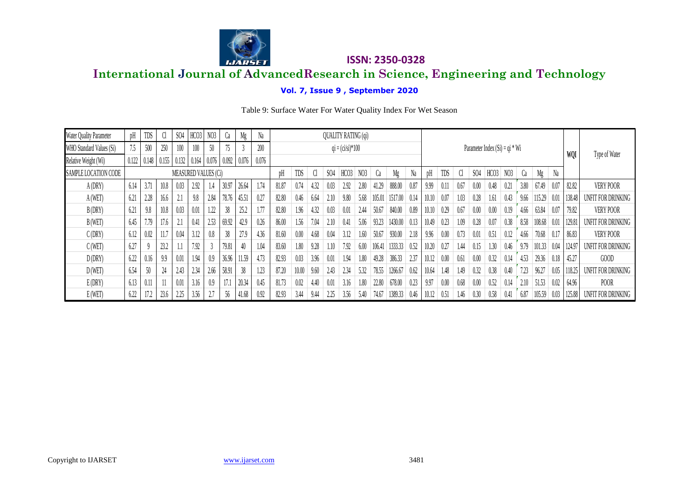

#### **Vol. 7, Issue 9 , September 2020**

|                          | <b>ISSN: 2350-0328</b><br><b>LIADSFT</b><br><b>International Journal of AdvancedResearch in Science, Engineering and Technology</b> |        |        |            |                      |                 |       |                               |       |       |       |      |      |                            |                 |        |         |      |       |      |      |                 |                                  |                 |      |        |      |            |                    |
|--------------------------|-------------------------------------------------------------------------------------------------------------------------------------|--------|--------|------------|----------------------|-----------------|-------|-------------------------------|-------|-------|-------|------|------|----------------------------|-----------------|--------|---------|------|-------|------|------|-----------------|----------------------------------|-----------------|------|--------|------|------------|--------------------|
|                          | Vol. 7, Issue 9, September 2020                                                                                                     |        |        |            |                      |                 |       |                               |       |       |       |      |      |                            |                 |        |         |      |       |      |      |                 |                                  |                 |      |        |      |            |                    |
|                          | Table 9: Surface Water For Water Quality Index For Wet Season                                                                       |        |        |            |                      |                 |       |                               |       |       |       |      |      |                            |                 |        |         |      |       |      |      |                 |                                  |                 |      |        |      |            |                    |
|                          |                                                                                                                                     |        |        |            |                      |                 |       |                               |       |       |       |      |      |                            |                 |        |         |      |       |      |      |                 |                                  |                 |      |        |      |            |                    |
| Water Quality Parameter  | pH                                                                                                                                  | TDS    | Cl     | <b>SO4</b> | HCO3                 | N <sub>03</sub> | Ca    | Mg                            | Na    |       |       |      |      | <b>QUALITY RATING (qi)</b> |                 |        |         |      |       |      |      |                 |                                  |                 |      |        |      |            |                    |
| WHO Standard Values (Si) | 7.5                                                                                                                                 | 500    | 250    | 100        | 100                  | 50              | 75    |                               | 200   |       |       |      |      | $qi = (ci/si)*100$         |                 |        |         |      |       |      |      |                 | Parameter Index $(Si) = qi * Wi$ |                 |      |        |      |            |                    |
| Relative Weight (Wi)     | 0.122                                                                                                                               | 0.148  | 0.155  | 0.132      | 0.164                | 0.076           |       | $0.092 \,   \, 0.076 \,   \,$ | 0.076 |       |       |      |      |                            |                 |        |         |      |       |      |      |                 |                                  |                 |      |        |      | <b>WQI</b> | Type of Water      |
| SAMPLE LOCATION CODE     |                                                                                                                                     |        |        |            | MEASURED VALUES (Ci) |                 |       |                               |       | рH    | TDS   | CI.  | SO4  | HCO <sub>3</sub>           | N <sub>03</sub> | Ca     | Mg      | Na   | pH    | TDS  | Cl   | SO <sub>4</sub> | HCO3                             | N <sub>03</sub> | Ca   | Mg     | Na   |            |                    |
| A(DRY)                   | 6.14                                                                                                                                | 3.71   | 10.8   | 0.03       | 2.92                 | 1.4             | 30.97 | 26.64                         | 1.74  | 81.87 | 0.74  | 4.32 | 0.03 | 2.92                       | 2.80            | 41.29  | 888.00  | 0.87 | 9.99  | 0.11 | 0.67 | 0.00            | 0.48                             | 0.21            | 3.80 | 67.49  | 0.07 | 82.82      | VERY POOR          |
| A(WET)                   | 6.21                                                                                                                                | 2.28   | 16.6   | 2.1        | 9.8                  | 2.84            | 78.76 | 45.51                         | 0.27  | 82.80 | 0.46  | 6.64 | 2.10 | 9.80                       | 5.68            | 105.01 | 1517.00 | 0.14 | 10.10 | 0.07 | 1.03 | 0.28            | 1.61                             | 0.43            | 9.66 | 115.29 | 0.01 | 138.48     | UNFIT FOR DRINKING |
| B(DRY)                   | 6.21                                                                                                                                | 9.8    | 10.8   | 0.03       | 0.01                 | 1.22            | 38    | 25.2                          | 1.77  | 82.80 | 1.96  | 4.32 | 0.03 | 0.01                       | 2.44            | 50.67  | 840.00  | 0.89 | 10.10 | 0.29 | 0.67 | 0.00            | 0.00                             | 0.19            | 4.66 | 63.84  | 0.07 | 79.82      | VERY POOR          |
| B(WET)                   | 6.45                                                                                                                                | 7.79   | 17.6   | 2.1        | 0.41                 | 2.53            | 69.92 | 42.9                          | 0.26  | 86.00 | 1.56  | 7.04 | 2.10 | 0.41                       | 5.06            | 93.23  | 1430.00 | 0.13 | 10.49 | 0.23 | 1.09 | 0.28            | 0.07                             | 0.38            | 8.58 | 108.68 | 0.01 | 129.81     | UNFIT FOR DRINKING |
| C(DRY)                   | 6.12                                                                                                                                | 0.02   | 11.7   | 0.04       | 3.12                 | 0.8             | 38    | 27.9                          | 4.36  | 81.60 | 0.00  | 4.68 | 0.04 | 3.12                       | 1.60            | 50.67  | 930.00  | 2.18 | 9.96  | 0.00 | 0.73 | 0.01            | 0.51                             | 0.12            | 4.66 | 70.68  | 0.17 | 86.83      | VERY POOR          |
| C(WET)                   | 6.27                                                                                                                                |        | 23.2   | 1.1        | 7.92                 |                 | 79.81 | 40                            | 1.04  | 83.60 | 1.80  | 9.28 | 1.10 | 7.92                       | 6.00            | 106.41 | 1333.33 | 0.52 | 10.20 | 0.27 | 1.44 | 0.15            | 1.30                             | 0.46            | 9.79 | 101.33 | 0.04 | 124.9      | UNFIT FOR DRINKING |
| D(DRY)                   | 6.22                                                                                                                                | 0.16   | 9.9    | $0.01\,$   | 1.94                 | 0.9             | 36.96 | 11.59                         | 4.73  | 82.93 | 0.03  | 3.96 | 0.01 | 1.94                       | 1.80            | 49.28  | 386.33  | 2.37 | 10.12 | 0.00 | 0.61 | 0.00            | 0.32                             | 0.14            | 4.53 | 29.36  | 0.18 | 45.27      | GOOD               |
| D(WET)                   | 6.54                                                                                                                                | $50\,$ | $24\,$ | 2.43       | 2.34                 | 2.66            | 58.91 | 38                            | 1.23  | 87.20 | 10.00 | 9.60 | 2.43 | 2.34                       | 5.32            | 78.55  | 1266.67 | 0.62 | 10.64 | 1.48 | 1.49 | 0.32            | 0.38                             | 0.40            | 7.23 | 96.27  | 0.05 | 118.25     | UNFIT FOR DRINKING |
| E(DRY)                   | 6.13                                                                                                                                | 0.11   | 11     | 0.01       | 3.16                 | 0.9             | 17.1  | 20.34                         | 0.45  | 81.73 | 0.02  | 4.40 | 0.01 | 3.16                       | 1.80            | 22.80  | 678.00  | 0.23 | 9.97  | 0.00 | 0.68 | 0.00            | 0.52                             | 0.14            | 2.10 | 51.53  | 0.02 | 64.96      | POOR               |
| E(WET)                   | 6.22                                                                                                                                |        | 23.6   | 2.25       | 3.56                 |                 | 56    | 41.68                         | 0.92  | 82.93 | 3.44  | 9.44 | 2.25 | 3.56                       | 5.40            | 74.67  | 1389.33 | 0.46 | 10.12 | 0.51 | 1.46 | 0.30            | 0.58                             | 0.41            | 6.87 | 105.59 | 0.03 | 125.88     | UNFIT FOR DRINKING |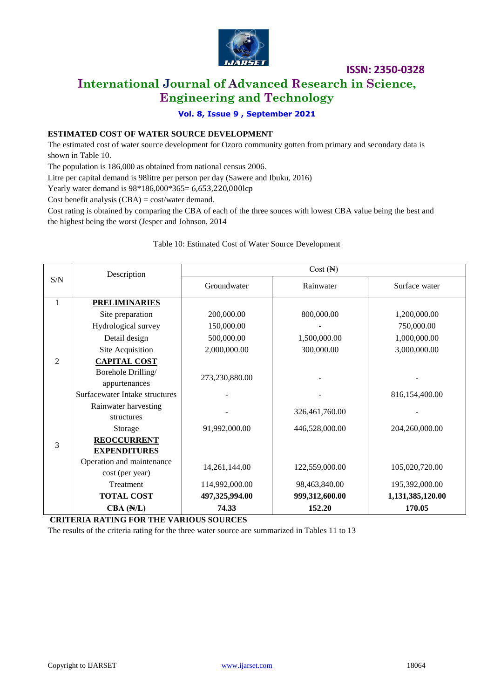

### **International Journal of Advanced Research in Science, Engineering and Technology**

**Vol. 8, Issue 9 , September 2021**

#### **ESTIMATED COST OF WATER SOURCE DEVELOPMENT**

The estimated cost of water source development for Ozoro community gotten from primary and secondary data is shown in Table 10.

The population is 186,000 as obtained from national census 2006.

Litre per capital demand is 98litre per person per day (Sawere and Ibuku, 2016)

Yearly water demand is  $98*186,000*365=6,653,220,000$ lcp

Cost benefit analysis (CBA) = cost/water demand.

Cost rating is obtained by comparing the CBA of each of the three souces with lowest CBA value being the best and the highest being the worst (Jesper and Johnson, 2014

#### Table 10: Estimated Cost of Water Source Development

|                             | Description                    |                | $Cost (\mathbb{H})$ |                  |
|-----------------------------|--------------------------------|----------------|---------------------|------------------|
| $\ensuremath{\mathrm{S/N}}$ |                                | Groundwater    | Rainwater           | Surface water    |
| $\mathbf{1}$                | <b>PRELIMINARIES</b>           |                |                     |                  |
|                             | Site preparation               | 200,000.00     | 800,000.00          | 1,200,000.00     |
|                             | Hydrological survey            | 150,000.00     |                     | 750,000.00       |
|                             | Detail design                  | 500,000.00     | 1,500,000.00        | 1,000,000.00     |
|                             | Site Acquisition               | 2,000,000.00   | 300,000.00          | 3,000,000.00     |
| $\overline{2}$              | <b>CAPITAL COST</b>            |                |                     |                  |
|                             | Borehole Drilling/             | 273,230,880.00 |                     |                  |
|                             | appurtenances                  |                |                     |                  |
|                             | Surfacewater Intake structures |                |                     | 816,154,400.00   |
|                             | Rainwater harvesting           |                | 326,461,760.00      |                  |
|                             | structures                     |                |                     |                  |
|                             | Storage                        | 91,992,000.00  | 446,528,000.00      | 204,260,000.00   |
| 3                           | <b>REOCCURRENT</b>             |                |                     |                  |
|                             | <b>EXPENDITURES</b>            |                |                     |                  |
|                             | Operation and maintenance      | 14,261,144.00  | 122,559,000.00      | 105,020,720.00   |
|                             | cost (per year)                |                |                     |                  |
|                             | Treatment                      | 114,992,000.00 | 98,463,840.00       | 195,392,000.00   |
|                             | <b>TOTAL COST</b>              | 497,325,994.00 | 999,312,600.00      | 1,131,385,120.00 |
|                             | $CBA$ ( $N/L$ )                | 74.33          | 152.20              | 170.05           |

**CRITERIA RATING FOR THE VARIOUS SOURCES**

The results of the criteria rating for the three water source are summarized in Tables 11 to 13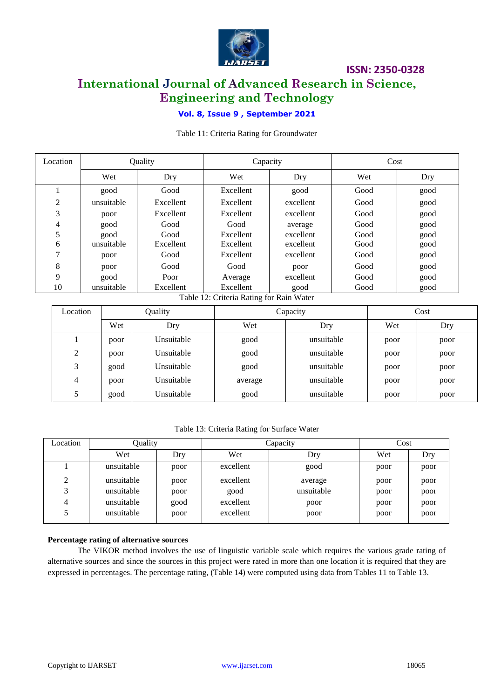

### **International Journal of Advanced Research in Science, Engineering and Technology**

#### **Vol. 8, Issue 9 , September 2021**

Table 11: Criteria Rating for Groundwater

| Location | Quality    |           | Capacity  |           | Cost |      |  |
|----------|------------|-----------|-----------|-----------|------|------|--|
|          | Wet        | Dry       | Wet       | Dry       | Wet  | Dry  |  |
|          | good       | Good      | Excellent | good      | Good | good |  |
| 2        | unsuitable | Excellent | Excellent | excellent | Good | good |  |
| 3        | poor       | Excellent | Excellent | excellent | Good | good |  |
| 4        | good       | Good      | Good      | average   | Good | good |  |
| 5        | good       | Good      | Excellent | excellent | Good | good |  |
| 6        | unsuitable | Excellent | Excellent | excellent | Good | good |  |
| ⇁        | poor       | Good      | Excellent | excellent | Good | good |  |
| 8        | poor       | Good      | Good      | poor      | Good | good |  |
| 9        | good       | Poor      | Average   | excellent | Good | good |  |
| 10       | unsuitable | Excellent | Excellent | good      | Good | good |  |

Table 12: Criteria Rating for Rain Water

| Location | Quality |            |         | Capacity   | Cost |      |  |
|----------|---------|------------|---------|------------|------|------|--|
|          | Wet     | Dry        | Wet     | Dry        | Wet  | Dry  |  |
|          | poor    | Unsuitable | good    | unsuitable | poor | poor |  |
| 2        | poor    | Unsuitable | good    | unsuitable | poor | poor |  |
| 3        | good    | Unsuitable | good    | unsuitable | poor | poor |  |
| 4        | poor    | Unsuitable | average | unsuitable | poor | poor |  |
|          | good    | Unsuitable | good    | unsuitable | poor | poor |  |

#### Table 13: Criteria Rating for Surface Water

| Location | Quality    |      | Capacity  | Cost       |      |      |
|----------|------------|------|-----------|------------|------|------|
|          | Wet        | Dry  | Wet       | Dry        | Wet  | Dry  |
|          | unsuitable | poor | excellent | good       | poor | poor |
| 2        | unsuitable | poor | excellent | average    | poor | poor |
| 3        | unsuitable | poor | good      | unsuitable | poor | poor |
|          | unsuitable | good | excellent | poor       | poor | poor |
|          | unsuitable | poor | excellent | poor       | poor | poor |

#### **Percentage rating of alternative sources**

The VIKOR method involves the use of linguistic variable scale which requires the various grade rating of alternative sources and since the sources in this project were rated in more than one location it is required that they are expressed in percentages. The percentage rating, (Table 14) were computed using data from Tables 11 to Table 13.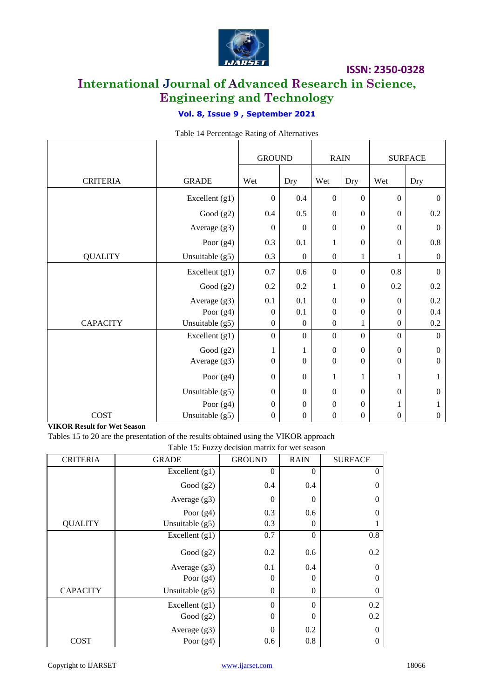

### **International Journal of Advanced Research in Science, Engineering and Technology**

### **Vol. 8, Issue 9 , September 2021**

|                 |                 | <b>GROUND</b>    |                  | <b>RAIN</b>      |                  |                  | <b>SURFACE</b>   |
|-----------------|-----------------|------------------|------------------|------------------|------------------|------------------|------------------|
| <b>CRITERIA</b> | <b>GRADE</b>    | Wet              | Dry              | Wet              | Dry              | Wet              | Dry              |
|                 | Excellent (g1)  | $\overline{0}$   | 0.4              | $\boldsymbol{0}$ | $\boldsymbol{0}$ | $\mathbf{0}$     | $\boldsymbol{0}$ |
|                 | Good $(g2)$     | 0.4              | 0.5              | $\boldsymbol{0}$ | $\boldsymbol{0}$ | $\boldsymbol{0}$ | $0.2\,$          |
|                 | Average (g3)    | $\boldsymbol{0}$ | $\boldsymbol{0}$ | $\boldsymbol{0}$ | $\boldsymbol{0}$ | $\boldsymbol{0}$ | $\boldsymbol{0}$ |
|                 | Poor $(g4)$     | 0.3              | 0.1              | 1                | $\boldsymbol{0}$ | $\boldsymbol{0}$ | $0.8\,$          |
| <b>QUALITY</b>  | Unsuitable (g5) | 0.3              | $\boldsymbol{0}$ | $\boldsymbol{0}$ | $\mathbf{1}$     | 1                | $\boldsymbol{0}$ |
|                 | Excellent (g1)  | 0.7              | 0.6              | $\mathbf{0}$     | $\boldsymbol{0}$ | $0.8\,$          | $\Omega$         |
|                 | Good $(g2)$     | 0.2              | 0.2              | 1                | $\boldsymbol{0}$ | 0.2              | 0.2              |
|                 | Average (g3)    | 0.1              | 0.1              | $\boldsymbol{0}$ | $\boldsymbol{0}$ | $\boldsymbol{0}$ | 0.2              |
|                 | Poor $(g4)$     | $\mathbf{0}$     | 0.1              | $\boldsymbol{0}$ | $\boldsymbol{0}$ | $\boldsymbol{0}$ | 0.4              |
| <b>CAPACITY</b> | Unsuitable (g5) | $\boldsymbol{0}$ | $\boldsymbol{0}$ | $\boldsymbol{0}$ | $\mathbf{1}$     | $\boldsymbol{0}$ | 0.2              |
|                 | Excellent (g1)  | $\mathbf{0}$     | $\mathbf{0}$     | $\mathbf{0}$     | $\mathbf{0}$     | $\boldsymbol{0}$ | $\mathbf{0}$     |
|                 | Good $(g2)$     | 1                | $\mathbf{1}$     | $\boldsymbol{0}$ | $\boldsymbol{0}$ | $\boldsymbol{0}$ | $\boldsymbol{0}$ |
|                 | Average (g3)    | $\mathbf{0}$     | $\mathbf{0}$     | $\mathbf{0}$     | $\boldsymbol{0}$ | $\boldsymbol{0}$ | $\boldsymbol{0}$ |
|                 | Poor $(g4)$     | $\mathbf{0}$     | $\boldsymbol{0}$ | 1                | 1                | 1                | $\mathbf{1}$     |
|                 | Unsuitable (g5) | $\mathbf{0}$     | $\boldsymbol{0}$ | $\boldsymbol{0}$ | $\boldsymbol{0}$ | $\boldsymbol{0}$ | $\boldsymbol{0}$ |
|                 | Poor $(g4)$     | $\boldsymbol{0}$ | $\boldsymbol{0}$ | $\boldsymbol{0}$ | $\boldsymbol{0}$ | $\mathbf{1}$     |                  |
| <b>COST</b>     | Unsuitable (g5) | $\boldsymbol{0}$ | $\boldsymbol{0}$ | $\boldsymbol{0}$ | $\boldsymbol{0}$ | $\boldsymbol{0}$ | $\boldsymbol{0}$ |

Table 14 Percentage Rating of Alternatives

**VIKOR Result for Wet Season**

Tables 15 to 20 are the presentation of the results obtained using the VIKOR approach

Table 15: Fuzzy decision matrix for wet season

|                 |                   | accipion maain for wet beabon |             |                  |
|-----------------|-------------------|-------------------------------|-------------|------------------|
| <b>CRITERIA</b> | <b>GRADE</b>      | <b>GROUND</b>                 | <b>RAIN</b> | <b>SURFACE</b>   |
|                 | Excellent (g1)    | $\overline{0}$                | $\theta$    | $\mathbf{0}$     |
|                 | Good $(g2)$       | 0.4                           | 0.4         | $\mathbf{0}$     |
|                 | Average $(g3)$    | $\boldsymbol{0}$              | $\theta$    | $\boldsymbol{0}$ |
|                 | Poor $(g4)$       | 0.3                           | 0.6         | $\mathbf{0}$     |
| <b>QUALITY</b>  | Unsuitable $(g5)$ | 0.3                           | $\theta$    |                  |
|                 | Excellent $(g1)$  | 0.7                           | $\theta$    | 0.8              |
|                 | Good $(g2)$       | 0.2                           | 0.6         | 0.2              |
|                 | Average $(g3)$    | 0.1                           | 0.4         | $\mathbf{0}$     |
|                 | Poor $(g4)$       | $\theta$                      | 0           | $\mathbf{0}$     |
| <b>CAPACITY</b> | Unsuitable $(g5)$ | $\overline{0}$                | $\theta$    | $\mathbf{0}$     |
|                 | Excellent $(g1)$  | $\theta$                      | $\Omega$    | 0.2              |
|                 | Good $(g2)$       | $\boldsymbol{0}$              | $\theta$    | 0.2              |
|                 | Average $(g3)$    | $\theta$                      | 0.2         | $\mathbf{0}$     |
| COST            | Poor $(g4)$       | 0.6                           | 0.8         | $\boldsymbol{0}$ |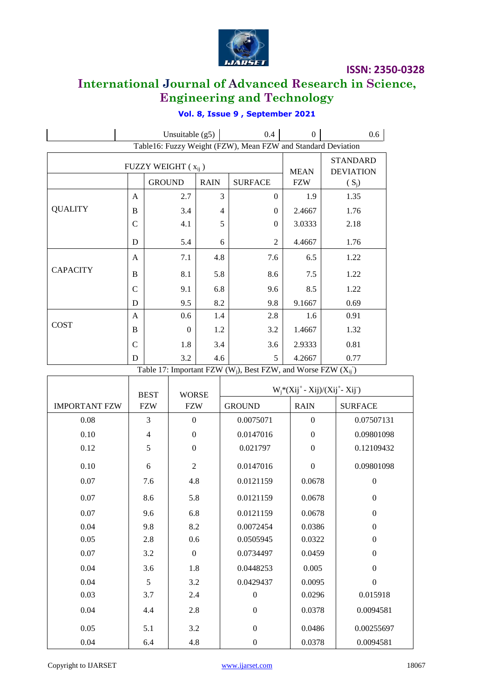

## **International Journal of Advanced Research in Science, Engineering and Technology**

|                 |   | Unsuitable $(g5)$                              |     | 0.4                                                                  | $\overline{0}$                      | $0.6\,$ |
|-----------------|---|------------------------------------------------|-----|----------------------------------------------------------------------|-------------------------------------|---------|
|                 |   |                                                |     | Table16: Fuzzy Weight (FZW), Mean FZW and Standard Deviation         |                                     |         |
|                 |   | FUZZY WEIGHT $(x_{ii})$                        |     | <b>MEAN</b>                                                          | <b>STANDARD</b><br><b>DEVIATION</b> |         |
|                 |   | <b>GROUND</b><br><b>RAIN</b><br><b>SURFACE</b> |     |                                                                      |                                     | $(S_i)$ |
|                 | A | 2.7                                            | 3   | $\Omega$                                                             | 1.9                                 | 1.35    |
| <b>QUALITY</b>  | B | 3.4                                            | 4   | $\theta$                                                             | 2.4667                              | 1.76    |
|                 | C | 4.1                                            | 5   | $\theta$                                                             | 3.0333                              | 2.18    |
|                 | D | 5.4                                            | 6   | 2                                                                    | 4.4667                              | 1.76    |
|                 | A | 7.1                                            | 4.8 | 7.6                                                                  | 6.5                                 | 1.22    |
| <b>CAPACITY</b> | B | 8.1                                            | 5.8 | 8.6                                                                  | 7.5                                 | 1.22    |
|                 | C | 9.1                                            | 6.8 | 9.6                                                                  | 8.5                                 | 1.22    |
|                 | D | 9.5                                            | 8.2 | 9.8                                                                  | 9.1667                              | 0.69    |
|                 | A | 0.6                                            | 1.4 | 2.8                                                                  | 1.6                                 | 0.91    |
| <b>COST</b>     | B | $\Omega$                                       | 1.2 | 3.2                                                                  | 1.4667                              | 1.32    |
|                 | C | 1.8                                            | 3.4 | 3.6                                                                  | 2.9333                              | 0.81    |
|                 | D | 3.2                                            | 4.6 | 5                                                                    | 4.2667                              | 0.77    |
|                 |   |                                                |     | Table 17: Important FZW ( $W_i$ ), Best FZW, and Worse FZW ( $X_i$ ) |                                     |         |

### **Vol. 8, Issue 9 , September 2021**

|                      | <b>BEST</b>    | <b>WORSE</b>     | $W_i^*(Xij^* - Xij)/(Xij^* - Xij^*)$ |                  |                  |
|----------------------|----------------|------------------|--------------------------------------|------------------|------------------|
| <b>IMPORTANT FZW</b> | <b>FZW</b>     | <b>FZW</b>       | <b>GROUND</b>                        | <b>RAIN</b>      | <b>SURFACE</b>   |
| 0.08                 | 3              | $\boldsymbol{0}$ | 0.0075071                            | $\boldsymbol{0}$ | 0.07507131       |
| 0.10                 | $\overline{4}$ | $\boldsymbol{0}$ | 0.0147016                            | $\boldsymbol{0}$ | 0.09801098       |
| 0.12                 | 5              | $\boldsymbol{0}$ | 0.021797                             | $\boldsymbol{0}$ | 0.12109432       |
| 0.10                 | 6              | $\overline{2}$   | 0.0147016                            | $\boldsymbol{0}$ | 0.09801098       |
| 0.07                 | 7.6            | 4.8              | 0.0121159                            | 0.0678           | $\boldsymbol{0}$ |
| 0.07                 | 8.6            | 5.8              | 0.0121159                            | 0.0678           | $\Omega$         |
| 0.07                 | 9.6            | 6.8              | 0.0121159                            | 0.0678           | $\Omega$         |
| 0.04                 | 9.8            | 8.2              | 0.0072454                            | 0.0386           | $\Omega$         |
| 0.05                 | 2.8            | 0.6              | 0.0505945                            | 0.0322           | $\Omega$         |
| 0.07                 | 3.2            | $\mathbf{0}$     | 0.0734497                            | 0.0459           | $\Omega$         |
| 0.04                 | 3.6            | 1.8              | 0.0448253                            | 0.005            | $\Omega$         |
| 0.04                 | 5              | 3.2              | 0.0429437                            | 0.0095           | $\boldsymbol{0}$ |
| 0.03                 | 3.7            | 2.4              | $\mathbf{0}$                         | 0.0296           | 0.015918         |
| 0.04                 | 4.4            | 2.8              | $\boldsymbol{0}$                     | 0.0378           | 0.0094581        |
| 0.05                 | 5.1            | 3.2              | $\boldsymbol{0}$                     | 0.0486           | 0.00255697       |
| 0.04                 | 6.4            | 4.8              | $\boldsymbol{0}$                     | 0.0378           | 0.0094581        |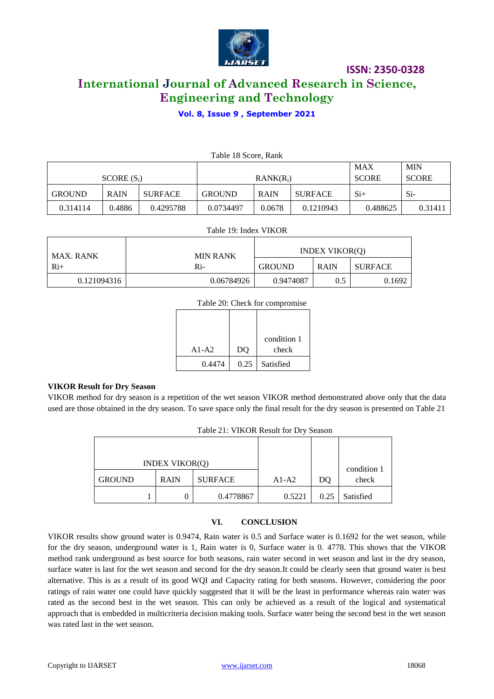

### **International Journal of Advanced Research in Science, Engineering and Technology**

#### **Vol. 8, Issue 9 , September 2021**

|               | Table 18 Score, Rank |                |               |             |                |              |            |  |  |  |  |  |
|---------------|----------------------|----------------|---------------|-------------|----------------|--------------|------------|--|--|--|--|--|
|               |                      |                |               |             |                | <b>MAX</b>   | <b>MIN</b> |  |  |  |  |  |
| $SCORE(S_i)$  |                      |                |               | $RANK(R_i)$ | <b>SCORE</b>   | <b>SCORE</b> |            |  |  |  |  |  |
| <b>GROUND</b> | <b>RAIN</b>          | <b>SURFACE</b> | <b>GROUND</b> | <b>RAIN</b> | <b>SURFACE</b> | $Si+$        | $Si-$      |  |  |  |  |  |
| 0.314114      | 0.4886               | 0.4295788      | 0.0734497     | 0.0678      | 0.1210943      | 0.488625     | 0.31411    |  |  |  |  |  |

#### Table 19: Index VIKOR

| <b>MAX. RANK</b> | <b>MIN RANK</b> |               | <b>INDEX VIKOR(O)</b> |         |  |
|------------------|-----------------|---------------|-----------------------|---------|--|
| $Ri+$            | R <sub>i</sub>  | <b>GROUND</b> | <b>RAIN</b>           | SURFACE |  |
| 0.121094316      | 0.06784926      | 0.9474087     | 0.5                   | 0.1692  |  |

#### Table 20: Check for compromise

| $A1-A2$ | D <sub>O</sub> | condition 1<br>check |
|---------|----------------|----------------------|
| 0.4474  | 0.25           | Satisfied            |

#### **VIKOR Result for Dry Season**

VIKOR method for dry season is a repetition of the wet season VIKOR method demonstrated above only that the data used are those obtained in the dry season. To save space only the final result for the dry season is presented on Table 21

| Table 21: VIKOR Result for Dry Season |  |             |                |         |      |             |
|---------------------------------------|--|-------------|----------------|---------|------|-------------|
|                                       |  |             |                |         |      |             |
| <b>INDEX VIKOR(O)</b>                 |  |             |                |         |      | condition 1 |
| <b>GROUND</b>                         |  | <b>RAIN</b> | <b>SURFACE</b> | $A1-A2$ | DO   | check       |
|                                       |  |             | 0.4778867      | 0.5221  | 0.25 | Satisfied   |

#### **VI. CONCLUSION**

VIKOR results show ground water is 0.9474, Rain water is 0.5 and Surface water is 0.1692 for the wet season, while for the dry season, underground water is 1, Rain water is 0, Surface water is 0. 4778. This shows that the VIKOR method rank underground as best source for both seasons, rain water second in wet season and last in the dry season, surface water is last for the wet season and second for the dry season.It could be clearly seen that ground water is best alternative. This is as a result of its good WQI and Capacity rating for both seasons. However, considering the poor ratings of rain water one could have quickly suggested that it will be the least in performance whereas rain water was rated as the second best in the wet season. This can only be achieved as a result of the logical and systematical approach that is embedded in multicriteria decision making tools. Surface water being the second best in the wet season was rated last in the wet season.

#### Copyright to IJARSET [www.ijarset.com](http://www.ijarset.com/) 18068